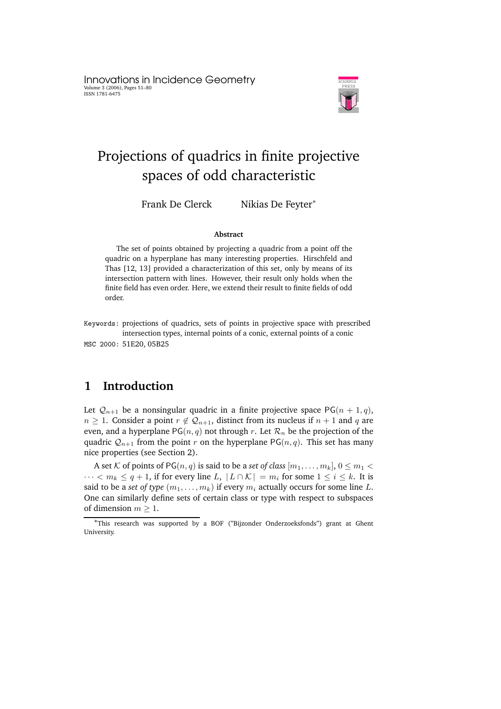Innovations in Incidence Geometry Volume 3 (2006), Pages 51–80 ISSN 1781-6475



# Projections of quadrics in finite projective spaces of odd characteristic

Frank De Clerck Nikias De Feyter<sup>\*</sup>

#### **Abstract**

The set of points obtained by projecting a quadric from a point off the quadric on a hyperplane has many interesting properties. Hirschfeld and Thas [12, 13] provided a characterization of this set, only by means of its intersection pattern with lines. However, their result only holds when the finite field has even order. Here, we extend their result to finite fields of odd order.

Keywords: projections of quadrics, sets of points in projective space with prescribed intersection types, internal points of a conic, external points of a conic MSC 2000: 51E20, 05B25

# **1 Introduction**

Let  $Q_{n+1}$  be a nonsingular quadric in a finite projective space PG( $n + 1, q$ ),  $n \geq 1$ . Consider a point  $r \notin Q_{n+1}$ , distinct from its nucleus if  $n+1$  and q are even, and a hyperplane  $PG(n, q)$  not through r. Let  $\mathcal{R}_n$  be the projection of the quadric  $Q_{n+1}$  from the point r on the hyperplane PG(n, q). This set has many nice properties (see Section 2).

A set K of points of PG(n, q) is said to be a *set* of *class*  $[m_1, \ldots, m_k]$ ,  $0 \le m_1 \le$  $\cdots < m_k \le q+1$ , if for every line L,  $|L \cap K| = m_i$  for some  $1 \le i \le k$ . It is said to be a *set* of *type*  $(m_1, \ldots, m_k)$  if every  $m_i$  actually occurs for some line L. One can similarly define sets of certain class or type with respect to subspaces of dimension  $m > 1$ .

<sup>∗</sup>This research was supported by a BOF ("Bijzonder Onderzoeksfonds") grant at Ghent **University**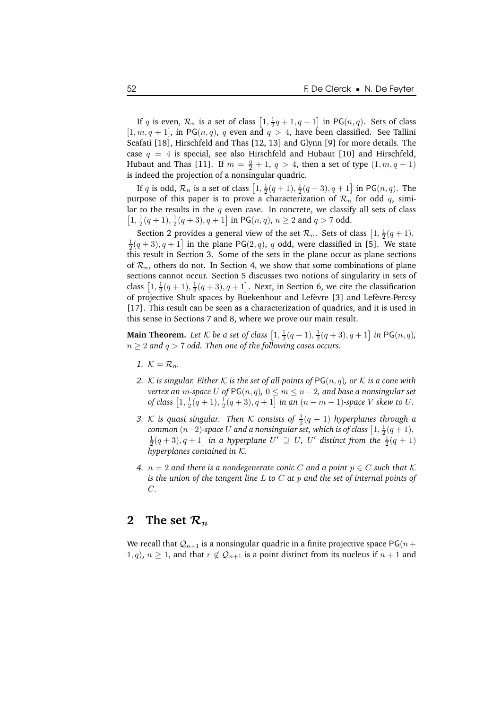If q is even,  $\mathcal{R}_n$  is a set of class  $\left[1, \frac{1}{2}q + 1, q + 1\right]$  in PG $(n, q)$ . Sets of class  $[1, m, q + 1]$ , in PG $(n, q)$ , q even and  $q > 4$ , have been classified. See Tallini Scafati [18], Hirschfeld and Thas [12, 13] and Glynn [9] for more details. The case  $q = 4$  is special, see also Hirschfeld and Hubaut [10] and Hirschfeld, Hubaut and Thas [11]. If  $m = \frac{q}{2} + 1$ ,  $q > 4$ , then a set of type  $(1, m, q + 1)$ is indeed the projection of a nonsingular quadric.

If q is odd,  $\mathcal{R}_n$  is a set of class  $\left[1, \frac{1}{2}(q + 1), \frac{1}{2}(q + 3), q + 1\right]$  in PG $(n, q)$ . The purpose of this paper is to prove a characterization of  $\mathcal{R}_n$  for odd q, similar to the results in the  $q$  even case. In concrete, we classify all sets of class  $\left[1,\frac{1}{2}(q+1),\frac{1}{2}(q+3),q+1\right]$  in  $\mathsf{PG}(n,q),\,n\geq 2$  and  $q>7$  odd.

Section 2 provides a general view of the set  $\mathcal{R}_n$ . Sets of class  $\left[1, \frac{1}{2}(q+1),\right]$  $\frac{1}{2}(q+3), q+1$  in the plane PG(2, q), q odd, were classified in [5]. We state this result in Section 3. Some of the sets in the plane occur as plane sections of  $\mathcal{R}_n$ , others do not. In Section 4, we show that some combinations of plane sections cannot occur. Section 5 discusses two notions of singularity in sets of class  $\left[1, \frac{1}{2}(q+1), \frac{1}{2}(q+3), q+1\right]$ . Next, in Section 6, we cite the classification of projective Shult spaces by Buekenhout and Lefèvre [3] and Lefèvre-Percsy [17]. This result can be seen as a characterization of quadrics, and it is used in this sense in Sections 7 and 8, where we prove our main result.

**Main Theorem.** Let  $K$  be a set of class  $\left[1, \frac{1}{2}(q + 1), \frac{1}{2}(q + 3), q + 1\right]$  in PG $(n, q)$ ,  $n \geq 2$  and  $q > 7$  *odd. Then one of the following cases occurs.* 

- 1.  $K = \mathcal{R}_n$ .
- *2. K is singular. Either*  $K$  *is the set of all points of*  $PG(n, q)$ *, or*  $K$  *is a cone with vertex an m*-space *U* of  $PG(n, q)$ ,  $0 \le m \le n - 2$ , and base a nonsingular set  $\int$ *of class*  $\left[1, \frac{1}{2}(q+1), \frac{1}{2}(q+3), q+1\right]$  *in an*  $(n-m-1)$ *-space V skew to U*.
- *3. K* is quasi singular. Then  $K$  consists of  $\frac{1}{2}(q + 1)$  hyperplanes through a  ${\it common}\ (n{-}2)$ -space  $U$  and a nonsingular set, which is of class  $\big[1,\frac12(q+1),\frac12\big]$  $\frac{1}{2}(q+3), q+1$  in a hyperplane  $U' \supseteq U$ ,  $U'$  distinct from the  $\frac{1}{2}(q+1)$ *hyperplanes contained in* K*.*
- *4.*  $n = 2$  and there is a nondegenerate conic C and a point  $p \in C$  such that K *is the union of the tangent line* L *to* C *at* p *and the set of internal points of* C*.*

## **2 The** set  $\mathcal{R}_n$

We recall that  $Q_{n+1}$  is a nonsingular quadric in a finite projective space PG( $n +$  $1, q$ ,  $n \geq 1$ , and that  $r \notin Q_{n+1}$  is a point distinct from its nucleus if  $n+1$  and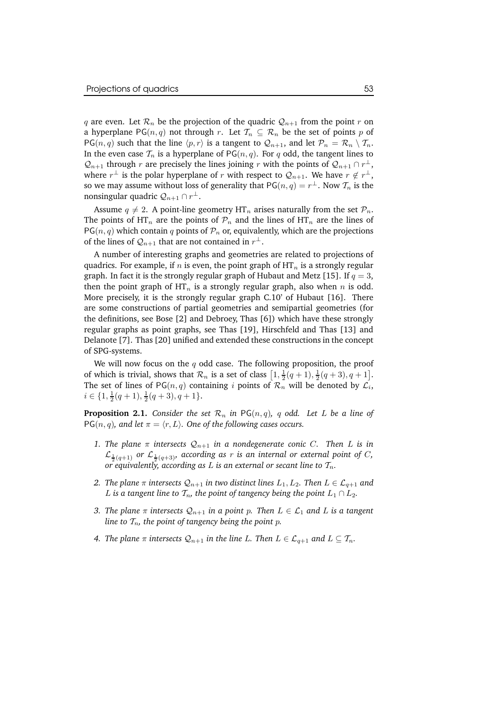q are even. Let  $\mathcal{R}_n$  be the projection of the quadric  $\mathcal{Q}_{n+1}$  from the point r on a hyperplane PG( $n, q$ ) not through r. Let  $\mathcal{T}_n \subseteq \mathcal{R}_n$  be the set of points p of  $PG(n, q)$  such that the line  $\langle p, r \rangle$  is a tangent to  $\mathcal{Q}_{n+1}$ , and let  $\mathcal{P}_n = \mathcal{R}_n \setminus \mathcal{T}_n$ . In the even case  $\mathcal{T}_n$  is a hyperplane of PG( $n, q$ ). For q odd, the tangent lines to  $\mathcal{Q}_{n+1}$  through r are precisely the lines joining r with the points of  $\mathcal{Q}_{n+1} \cap r^{\perp}$ , where  $r^{\perp}$  is the polar hyperplane of r with respect to  $\mathcal{Q}_{n+1}$ . We have  $r \notin r^{\perp}$ , so we may assume without loss of generality that  $\mathsf{PG}(n,q) = r^{\perp}$ . Now  $\mathcal{T}_n$  is the nonsingular quadric  $\mathcal{Q}_{n+1}\cap r^{\perp}$ .

Assume  $q \neq 2$ . A point-line geometry HT<sub>n</sub> arises naturally from the set  $\mathcal{P}_n$ . The points of HT<sub>n</sub> are the points of  $\mathcal{P}_n$  and the lines of HT<sub>n</sub> are the lines of  $PG(n, q)$  which contain q points of  $\mathcal{P}_n$  or, equivalently, which are the projections of the lines of  $\mathcal{Q}_{n+1}$  that are not contained in  $r^{\perp}$ .

A number of interesting graphs and geometries are related to projections of quadrics. For example, if n is even, the point graph of  $HT_n$  is a strongly regular graph. In fact it is the strongly regular graph of Hubaut and Metz [15]. If  $q = 3$ , then the point graph of  $HT_n$  is a strongly regular graph, also when n is odd. More precisely, it is the strongly regular graph C.10' of Hubaut [16]. There are some constructions of partial geometries and semipartial geometries (for the definitions, see Bose [2] and Debroey, Thas [6]) which have these strongly regular graphs as point graphs, see Thas [19], Hirschfeld and Thas [13] and Delanote [7]. Thas [20] unified and extended these constructions in the concept of SPG-systems.

We will now focus on the  $q$  odd case. The following proposition, the proof of which is trivial, shows that  $\mathcal{R}_n$  is a set of class  $\left[1, \frac{1}{2}(q+1), \frac{1}{2}(q+3), q+1\right]$ . The set of lines of  $PG(n, q)$  containing i points of  $\mathcal{R}_n$  will be denoted by  $\mathcal{L}_i$ ,  $i \in \{1, \frac{1}{2}(q+1), \frac{1}{2}(q+3), q+1\}.$ 

**Proposition 2.1.** *Consider the set*  $\mathcal{R}_n$  *in*  $PG(n,q)$ *, q odd.* Let *L be a line of*  $PG(n, q)$ *, and let*  $\pi = \langle r, L \rangle$ *. One of the following cases occurs.* 

- *1. The plane*  $\pi$  *intersects*  $\mathcal{Q}_{n+1}$  *in a nondegenerate conic C. Then L is in*  $\mathcal{L}_{\frac{1}{2}(q+1)}$  or  $\mathcal{L}_{\frac{1}{2}(q+3)}$ , according as r is an internal or external point of C, *or* equivalently, according as L is an external or secant line to  $\mathcal{T}_n$ .
- *2. The plane*  $\pi$  *intersects*  $Q_{n+1}$  *in two distinct lines*  $L_1, L_2$ *. Then*  $L \in \mathcal{L}_{q+1}$  *and* L is a tangent line to  $T_n$ , the point of tangency being the point  $L_1 \cap L_2$ .
- *3. The plane*  $\pi$  *intersects*  $Q_{n+1}$  *in a point p. Then*  $L \in \mathcal{L}_1$  *and*  $L$  *is a tangent line to*  $T_n$ *, the point of tangency being the point p.*
- *4. The plane*  $\pi$  *intersects*  $\mathcal{Q}_{n+1}$  *in the line L. Then*  $L \in \mathcal{L}_{q+1}$  *and*  $L \subseteq \mathcal{T}_n$ *.*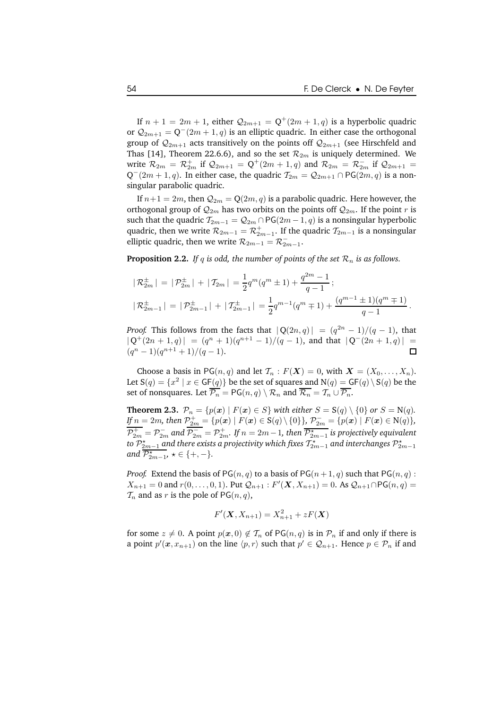If  $n + 1 = 2m + 1$ , either  $\mathcal{Q}_{2m+1} = \mathbf{Q}^{+}(2m + 1, q)$  is a hyperbolic quadric or  $\mathcal{Q}_{2m+1} = \mathsf{Q}^-(2m+1,q)$  is an elliptic quadric. In either case the orthogonal group of  $\mathcal{Q}_{2m+1}$  acts transitively on the points off  $\mathcal{Q}_{2m+1}$  (see Hirschfeld and Thas [14], Theorem 22.6.6), and so the set  $\mathcal{R}_{2m}$  is uniquely determined. We write  $\mathcal{R}_{2m} = \mathcal{R}_{2m}^+$  if  $\mathcal{Q}_{2m+1} = Q^+(2m+1, q)$  and  $\mathcal{R}_{2m} = \mathcal{R}_{2m}^-$  if  $\mathcal{Q}_{2m+1} =$  $Q^-(2m+1, q)$ . In either case, the quadric  $\mathcal{T}_{2m} = \mathcal{Q}_{2m+1} \cap \text{PG}(2m, q)$  is a nonsingular parabolic quadric.

If  $n+1 = 2m$ , then  $\mathcal{Q}_{2m} = \mathbb{Q}(2m, q)$  is a parabolic quadric. Here however, the orthogonal group of  $\mathcal{Q}_{2m}$  has two orbits on the points off  $\mathcal{Q}_{2m}$ . If the point r is such that the quadric  $\mathcal{T}_{2m-1} = \mathcal{Q}_{2m} \cap PG(2m-1, q)$  is a nonsingular hyperbolic quadric, then we write  $\mathcal{R}_{2m-1} = \mathcal{R}_{2m-1}^+$ . If the quadric  $\mathcal{T}_{2m-1}$  is a nonsingular elliptic quadric, then we write  $\mathcal{R}_{2m-1} = \mathcal{R}^-_{2m-1}.$ 

**Proposition 2.2.** *If*  $q$  *is odd, the number of points of the set*  $\mathcal{R}_n$  *is as follows.* 

$$
|\mathcal{R}_{2m}^{\pm}| = |\mathcal{P}_{2m}^{\pm}| + |\mathcal{I}_{2m}| = \frac{1}{2}q^m(q^m \pm 1) + \frac{q^{2m} - 1}{q - 1};
$$
  

$$
|\mathcal{R}_{2m-1}^{\pm}| = |\mathcal{P}_{2m-1}^{\pm}| + |\mathcal{I}_{2m-1}^{\pm}| = \frac{1}{2}q^{m-1}(q^m \mp 1) + \frac{(q^{m-1} \pm 1)(q^m \mp 1)}{q - 1}.
$$

*Proof.* This follows from the facts that  $|Q(2n, q)| = (q^{2n} - 1)/(q - 1)$ , that  $|Q^+(2n+1,q)| = (q^n+1)(q^{n+1}-1)/(q-1)$ , and that  $|Q^-(2n+1,q)| =$  $(q^{n}-1)(q^{n+1}+1)/(q-1).$ 

Choose a basis in PG $(n, q)$  and let  $\mathcal{T}_n : F(X) = 0$ , with  $X = (X_0, \ldots, X_n)$ . Let  $S(q) = \{x^2 \mid x \in {\textsf{GF}}(q)\}$  be the set of squares and  $\textsf{N}(q) = {\textsf{GF}}(q) \setminus S(q)$  be the set of nonsquares. Let  $\overline{\mathcal{P}_n} = PG(n,q) \setminus \mathcal{R}_n$  and  $\overline{\mathcal{R}_n} = \mathcal{T}_n \cup \overline{\mathcal{P}_n}$ .

**Theorem 2.3.**  $\mathcal{P}_n = \{p(x) \mid F(x) \in S\}$  *with either*  $S = S(q) \setminus \{0\}$  *or*  $S = N(q)$ *. If*  $n = 2m$ *, then*  $\mathcal{P}_{2m}^+ = \{p(\bm{x}) \mid F(\bm{x}) \in S(q) \setminus \{0\}\}\$ ,  $\mathcal{P}_{2m}^- = \{p(\bm{x}) \mid F(\bm{x}) \in N(q)\}\$ ,  $\mathcal{P}_{2m}^+ = \mathcal{P}_{2m}^-$  and  $\mathcal{P}_{2m}^- = \mathcal{P}_{2m}^+$ . If  $n=2m-1$ , then  $\overline{\mathcal{P}_{2m-1}^{\star}}$  is projectively equivalent to  $\mathcal{P}_{2m-1}^{\star}$  and there exists a projectivity which fixes  $\mathcal{T}_{2m-1}^{\star}$  and interchanges  $\mathcal{P}_{2m-1}^{\star}$ and  $\overline{P_{2m-1}^{\star}}$ ,  $\star \in \{+, -\}.$ 

*Proof.* Extend the basis of  $PG(n, q)$  to a basis of  $PG(n + 1, q)$  such that  $PG(n, q)$ :  $X_{n+1} = 0$  and  $r(0, \ldots, 0, 1)$ . Put  $\mathcal{Q}_{n+1}$ :  $F'(\mathbf{X}, X_{n+1}) = 0$ . As  $\mathcal{Q}_{n+1} \cap PG(n, q) =$  $\mathcal{T}_n$  and as r is the pole of PG(n, q),

$$
F'(\mathbf{X}, X_{n+1}) = X_{n+1}^2 + zF(\mathbf{X})
$$

for some  $z \neq 0$ . A point  $p(x, 0) \notin \mathcal{T}_n$  of PG $(n, q)$  is in  $\mathcal{P}_n$  if and only if there is a point  $p'(\bm{x}, x_{n+1})$  on the line  $\langle p, r \rangle$  such that  $p' \in \mathcal{Q}_{n+1}$ . Hence  $p \in \mathcal{P}_n$  if and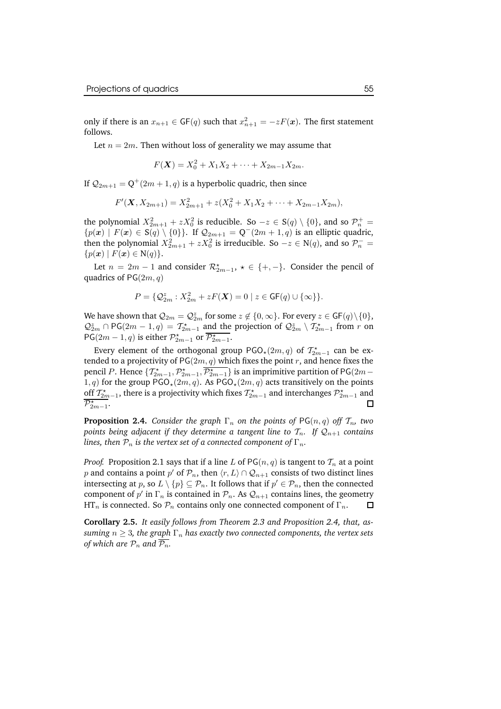only if there is an  $x_{n+1} \in \mathsf{GF}(q)$  such that  $x_{n+1}^2 = -zF(\mathbf{x})$ . The first statement follows.

Let  $n = 2m$ . Then without loss of generality we may assume that

$$
F(\mathbf{X}) = X_0^2 + X_1 X_2 + \dots + X_{2m-1} X_{2m}.
$$

If  $\mathcal{Q}_{2m+1} = \mathsf{Q}^{+}(2m+1,q)$  is a hyperbolic quadric, then since

$$
F'(\mathbf{X}, X_{2m+1}) = X_{2m+1}^2 + z(X_0^2 + X_1X_2 + \dots + X_{2m-1}X_{2m}),
$$

the polynomial  $X_{2m+1}^2 + zX_0^2$  is reducible. So  $-z \in S(q) \setminus \{0\}$ , and so  $\mathcal{P}_n^+$  =  ${p(\boldsymbol{x}) | F(\boldsymbol{x}) \in S(q) \setminus \{0\}}$ . If  $\mathcal{Q}_{2m+1} = Q^-(2m+1, q)$  is an elliptic quadric, then the polynomial  $X_{2m+1}^2 + zX_0^2$  is irreducible. So  $-z \in N(q)$ , and so  $\mathcal{P}_n^-$  =  $\{p(\boldsymbol{x}) \mid F(\boldsymbol{x}) \in N(q)\}.$ 

Let  $n = 2m - 1$  and consider  $\mathcal{R}_{2m-1}^*$ ,  $\star \in \{+, -\}$ . Consider the pencil of quadrics of  $PG(2m, q)$ 

$$
P = \{ \mathcal{Q}_{2m}^z : X_{2m}^2 + zF(\mathbf{X}) = 0 \mid z \in \mathsf{GF}(q) \cup \{\infty\} \}.
$$

We have shown that  $\mathcal{Q}_{2m} = \mathcal{Q}_{2m}^z$  for some  $z \not\in \{0,\infty\}$ . For every  $z \in \mathsf{GF}(q) \backslash \{0\},$  $\mathcal{Q}_{2m}^z \cap PG(2m-1,q) = \mathcal{T}_{2m-1}^{\star}$  and the projection of  $\mathcal{Q}_{2m}^z \setminus \mathcal{T}_{2m-1}^{\star}$  from r on PG(2m – 1, q) is either  $\mathcal{P}_{2m-1}^{\star}$  or  $\overline{\mathcal{P}_{2m-1}^{\star}}$ .

Every element of the orthogonal group  $PGO_{\star}(2m, q)$  of  $\mathcal{T}_{2m-1}^{\star}$  can be extended to a projectivity of  $PG(2m, q)$  which fixes the point r, and hence fixes the pencil P. Hence  $\{T_{2m-1}^*, \overline{P_{2m-1}}^*, \overline{P_{2m-1}}\}$  is an imprimitive partition of PG(2m – 1, q) for the group  $PGO_{\star}(2m, q)$ . As  $PGO_{\star}(2m, q)$  acts transitively on the points off  $\mathcal{T}_{2m-1}^*$ , there is a projectivity which fixes  $\mathcal{T}_{2m-1}^*$  and interchanges  $\mathcal{P}_{2m-1}^*$  and  $\mathcal{P}_{2m-1}^{\star}$ .  $\Box$ 

**Proposition 2.4.** *Consider the graph*  $\Gamma_n$  *on the points of*  $PG(n, q)$  *off*  $\mathcal{T}_n$ *, two points being adjacent if they determine a tangent line to*  $T_n$ *. If*  $Q_{n+1}$  *contains lines, then*  $\mathcal{P}_n$  *is the vertex set of a connected component of*  $\Gamma_n$ *.* 

*Proof.* Proposition 2.1 says that if a line L of  $PG(n, q)$  is tangent to  $\mathcal{T}_n$  at a point  $p$  and contains a point  $p'$  of  $\mathcal{P}_n$ , then  $\langle r,L\rangle\cap\mathcal{Q}_{n+1}$  consists of two distinct lines intersecting at  $p$ , so  $L \setminus \{p\} \subseteq \mathcal{P}_n$ . It follows that if  $p' \in \mathcal{P}_n$ , then the connected component of  $p'$  in  $\Gamma_n$  is contained in  $\mathcal{P}_n$ . As  $\mathcal{Q}_{n+1}$  contains lines, the geometry HT<sub>n</sub> is connected. So  $\mathcal{P}_n$  contains only one connected component of  $\Gamma_n$ .

**Corollary 2.5.** *It easily follows from Theorem 2.3 and Proposition 2.4, that, assuming*  $n \geq 3$ , *the graph*  $\Gamma_n$  *has exactly two connected components, the vertex sets of which are*  $P_n$  *and*  $\overline{P_n}$ *.*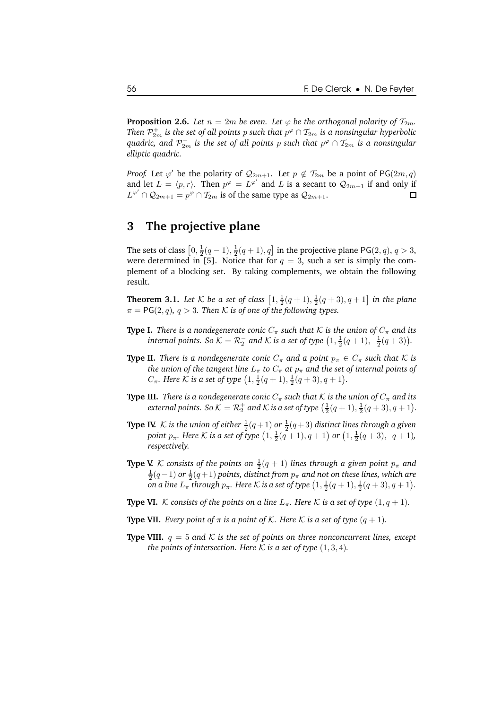**Proposition 2.6.** *Let*  $n = 2m$  *be even. Let*  $\varphi$  *be the orthogonal polarity of*  $\mathcal{T}_{2m}$ *. Then*  $\mathcal{P}_{2m}^+$  *is the set of all points*  $p$  *such that*  $p^\varphi \cap \mathcal{I}_{2m}$  *is a nonsingular hyperbolic*  $q$ uadric, and  $\mathcal{P}_{2m}^-$  is the set of all points  $p$  such that  $p^\varphi \cap \mathcal{T}_{2m}$  is a nonsingular *elliptic quadric.*

*Proof.* Let  $\varphi'$  be the polarity of  $\mathcal{Q}_{2m+1}$ . Let  $p \notin \mathcal{T}_{2m}$  be a point of PG $(2m, q)$ and let  $L = \langle p, r \rangle$ . Then  $p^{\varphi} = L^{\varphi'}$  and L is a secant to  $\mathcal{Q}_{2m+1}$  if and only if  $L^{\varphi'} \cap {\cal Q}_{2m+1} = p^{\varphi} \cap {\cal T}_{2m}$  is of the same type as  ${\cal Q}_{2m+1}$ . □

# **3 The projective plane**

The sets of class  $\left[0, \frac{1}{2}(q-1), \frac{1}{2}(q+1), q\right]$  in the projective plane PG(2, q),  $q > 3$ , were determined in [5]. Notice that for  $q = 3$ , such a set is simply the complement of a blocking set. By taking complements, we obtain the following result.

**Theorem 3.1.** Let  $K$  be a set of class  $\left[1, \frac{1}{2}(q + 1), \frac{1}{2}(q + 3), q + 1\right]$  in the plane  $\pi = PG(2, q), q > 3$ . Then K is of one of the following types.

- **Type I.** *There is a nondegenerate conic*  $C_{\pi}$  *such that*  $K$  *is the union of*  $C_{\pi}$  *and its internal points.* So  $K = \mathcal{R}_2^-$  and  $K$  *is a set of type*  $\left(1, \frac{1}{2}(q+1), \frac{1}{2}(q+3)\right)$ *.*
- **Type II.** *There is a nondegenerate conic*  $C_{\pi}$  *and a point*  $p_{\pi} \in C_{\pi}$  *such that* K *is the union of the tangent line*  $L_{\pi}$  *to*  $C_{\pi}$  *at*  $p_{\pi}$  *and the set of internal points of*  $C_{\pi}$ *. Here* K is a set of type  $(1, \frac{1}{2}(q + 1), \frac{1}{2}(q + 3), q + 1)$ *.*
- **Type III.** *There is a nondegenerate conic*  $C_{\pi}$  *such that*  $K$  *is the union of*  $C_{\pi}$  *and its* external points. So  $K = \mathcal{R}_2^+$  and  $K$  is a set of type  $\left(\frac{1}{2}(q+1), \frac{1}{2}(q+3), q+1\right)$ .
- **Type IV.** K is the union of either  $\frac{1}{2}(q+1)$  or  $\frac{1}{2}(q+3)$  distinct lines through a given *point*  $p_{\pi}$ *. Here* K *is a set of type*  $(1, \frac{1}{2}(q + 1), q + 1)$  *or*  $(1, \frac{1}{2}(q + 3), q + 1)$ *, respectively.*
- **Type V.** K consists of the points on  $\frac{1}{2}(q + 1)$  lines through a given point  $p_{\pi}$  and  $\frac{1}{2}(q-1)$  or  $\frac{1}{2}(q+1)$  points, distinct from  $p_\pi$  and not on these lines, which are *on* a line  $L_{\pi}$  through  $p_{\pi}$ . Here  $K$  is a set of type  $\left(1, \frac{1}{2}(q+1), \frac{1}{2}(q+3), q+1\right)$ .
- **Type VI.** K consists of the points on a line  $L_{\pi}$ . Here K is a set of type  $(1, q + 1)$ .
- **Type VII.** *Every point of*  $\pi$  *is a point of*  $K$ *. Here*  $K$  *is a set of type*  $(q + 1)$ *.*
- **Type VIII.**  $q = 5$  and K is the set of points on three nonconcurrent lines, except *the points of intersection. Here*  $K$  *is a set of type*  $(1, 3, 4)$ *.*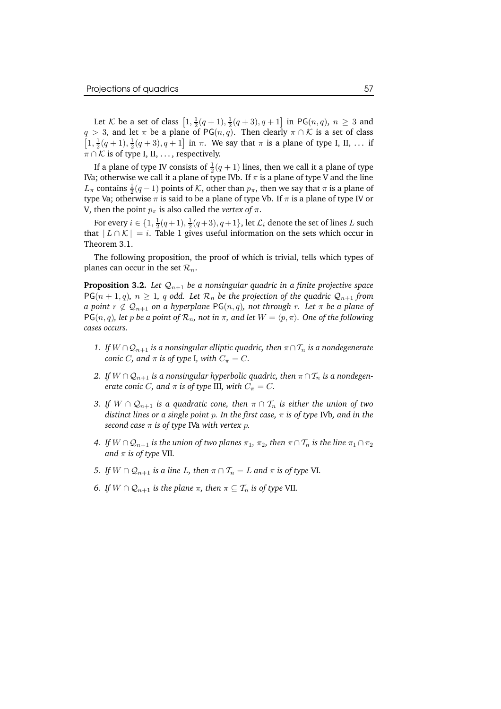Let K be a set of class  $\left[1, \frac{1}{2}(q+1), \frac{1}{2}(q+3), q+1\right]$  in PG $(n, q)$ ,  $n \ge 3$  and  $q > 3$ , and let  $\pi$  be a plane of PG( $n, q$ ). Then clearly  $\pi \cap \mathcal{K}$  is a set of class  $[1, \frac{1}{2}(q+1), \frac{1}{2}(q+3), q+1]$  in  $\pi$ . We say that  $\pi$  is a plane of type I, II, ... if  $\pi \cap \mathcal{K}$  is of type I, II, ..., respectively.

If a plane of type IV consists of  $\frac{1}{2}(q+1)$  lines, then we call it a plane of type IVa; otherwise we call it a plane of type IVb. If  $\pi$  is a plane of type V and the line  $L_{\pi}$  contains  $\frac{1}{2}(q-1)$  points of  $K$ , other than  $p_{\pi}$ , then we say that  $\pi$  is a plane of type Va; otherwise  $\pi$  is said to be a plane of type Vb. If  $\pi$  is a plane of type IV or V, then the point  $p_{\pi}$  is also called the *vertex* of  $\pi$ .

For every  $i \in \{1, \frac{1}{2}(q+1), \frac{1}{2}(q+3), q+1\}$ , let  $\mathcal{L}_i$  denote the set of lines L such that  $|L \cap K| = i$ . Table 1 gives useful information on the sets which occur in Theorem 3.1.

The following proposition, the proof of which is trivial, tells which types of planes can occur in the set  $\mathcal{R}_n$ .

**Proposition 3.2.** Let  $\mathcal{Q}_{n+1}$  be a nonsingular quadric in a finite projective space  $PG(n + 1, q)$ ,  $n \geq 1$ , q odd. Let  $\mathcal{R}_n$  be the projection of the quadric  $\mathcal{Q}_{n+1}$  from *a point*  $r \notin Q_{n+1}$  *on a hyperplane* PG( $n, q$ ), *not through*  $r$ *. Let*  $\pi$  *be a plane of*  $PG(n, q)$ , *let* p *be a* point of  $\mathcal{R}_n$ , not in  $\pi$ , and *let*  $W = \langle p, \pi \rangle$ . One of the following *cases occurs.*

- *1. If*  $W ∩ Q_{n+1}$  *is a nonsingular elliptic quadric, then*  $\pi ∩ T_n$  *is a nondegenerate conic C*, and  $\pi$  *is of type* I, *with*  $C_{\pi} = C$ .
- 2. *If*  $W \cap Q_{n+1}$  *is a nonsingular hyperbolic quadric, then*  $\pi \cap T_n$  *is a nondegenerate conic C*, *and*  $\pi$  *is of type* III, *with*  $C_{\pi} = C$ *.*
- *3. If*  $W \cap Q_{n+1}$  *is a quadratic cone, then*  $\pi \cap T_n$  *is either the union of two distinct lines or a single point* p*. In the first case,* π *is of type* IVb*, and in the second case*  $\pi$  *is of type* IVa *with vertex p*.
- *4. If*  $W \cap Q_{n+1}$  *is the union of two planes*  $\pi_1$ *,*  $\pi_2$ *, then*  $\pi \cap T_n$  *is the line*  $\pi_1 \cap \pi_2$ *and*  $\pi$  *is of type* VII.
- *5. If*  $W \cap Q_{n+1}$  *is a line L, then*  $\pi \cap T_n = L$  *and*  $\pi$  *is of type* VI.
- *6. If*  $W \cap Q_{n+1}$  *is the plane*  $\pi$ *, then*  $\pi \subseteq \mathcal{T}_n$  *is of type* VII.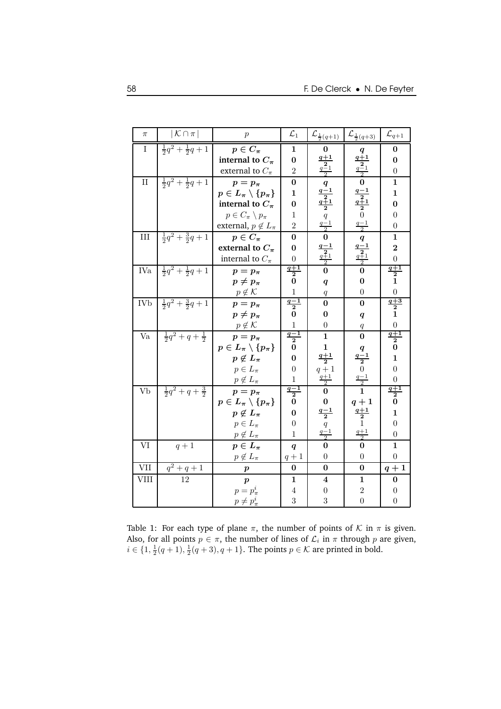| $\pi$         | $ \mathcal{K} \cap \pi $            | $\boldsymbol{p}$                                     | $\mathcal{L}_1$                             | ${\cal L}_{\frac{1}{2}(q+1)}$                                                                                     | $\mathcal{L}_{\frac{1}{2}(q+3)}$                                | $\mathcal{L}_{q+1}$              |
|---------------|-------------------------------------|------------------------------------------------------|---------------------------------------------|-------------------------------------------------------------------------------------------------------------------|-----------------------------------------------------------------|----------------------------------|
| $\bf{I}$      | $\frac{1}{2}q^2 + \frac{1}{2}q + 1$ | $p \in C_{\pi}$                                      | 1                                           | 0                                                                                                                 |                                                                 | $\bf{0}$                         |
|               |                                     | internal to $C_{\pi}$                                | $\boldsymbol{0}$                            |                                                                                                                   | $q$ <sub>1</sub>                                                | $\bf{0}$                         |
|               |                                     | external to $C_{\pi}$                                | $\overline{2}$                              | $\frac{\frac{q+1}{2}}{\frac{q-1}{2}}$                                                                             | $\sqrt{\frac{2}{q-1}}$                                          | $\boldsymbol{0}$                 |
| $\mathbf{II}$ | $\frac{1}{2}q^2 + \frac{1}{2}q + 1$ | $p=p_{\pi}$                                          | $\bf{0}$                                    | $\boldsymbol{q}$                                                                                                  | $\bf{0}$                                                        | $\mathbf{1}$                     |
|               |                                     | $p\in L_\pi\setminus\{p_\pi\}$                       | $\mathbf{1}$                                |                                                                                                                   |                                                                 | $\mathbf{1}$                     |
|               |                                     | internal to $C_{\pi}$                                | $\bf{0}$                                    |                                                                                                                   | $\begin{array}{l}\n\frac{q-1}{2} \\ q+1 \\ 2 \\ 0\n\end{array}$ | $\bf{0}$                         |
|               |                                     | $p \in C_{\pi} \setminus p_{\pi}$                    | $\mathbf{1}$                                |                                                                                                                   |                                                                 | $\overline{0}$                   |
|               |                                     | external, $p \notin L_{\pi}$                         | $\overline{2}$                              | $\begin{array}{c}\n\frac{q-1}{2} \\ q+1 \\ q-1 \\ \hline\n0 \\ q-1 \\ \hline\n0 \\ q+1 \\ \hline\n0\n\end{array}$ | $\frac{q-1}{2}$                                                 | $\overline{0}$                   |
| $\rm III$     | $\frac{1}{2}q^2 + \frac{3}{2}q + 1$ | $p\in C_{\pi}$                                       | $\bf{0}$                                    |                                                                                                                   |                                                                 | $\mathbf{1}$                     |
|               |                                     | external to $C_{\pi}$                                | $\bf{0}$                                    |                                                                                                                   |                                                                 | $\overline{2}$                   |
|               |                                     | internal to $C_{\pi}$                                | $\boldsymbol{0}$                            |                                                                                                                   | $\frac{q}{\frac{q-1}{2}}$                                       | $\overline{0}$                   |
| <b>IVa</b>    | $\frac{1}{2}q^2 + \frac{1}{2}q + 1$ | $p=p_{\pi}$                                          | $\frac{q+1}{2}$                             |                                                                                                                   | $\overline{0}$                                                  | $\frac{q+1}{2}$                  |
|               |                                     | $p \neq p_{\pi}$                                     | $\bf{0}$                                    | $\boldsymbol{q}$                                                                                                  | $\bf{0}$                                                        | $\mathbf{1}$                     |
|               |                                     | $p \notin \mathcal{K}$                               | $\overline{1}$                              | $\boldsymbol{q}$                                                                                                  | $\overline{0}$                                                  | $\overline{0}$                   |
| <b>IVb</b>    | $\frac{1}{2}q^2 + \frac{3}{2}q + 1$ | $p=p_{\pi}$                                          | $\frac{q-1}{2}$                             | $\bf{0}$                                                                                                          | $\bf{0}$                                                        | $\frac{q+3}{2}$                  |
|               |                                     | $p \neq p_{\pi}$                                     | $\bf{0}$                                    | $\bf{0}$                                                                                                          | $\boldsymbol{q}$                                                | $\mathbf{1}$                     |
|               |                                     | $p\not\in\mathcal{K}$                                | $\overline{1}$<br>$q-1$                     | $\boldsymbol{0}$                                                                                                  | q                                                               | $\overline{0}$<br>$q+1$          |
| Va            | $rac{1}{2}q^2+q+\frac{1}{2}$        | $p=p_{\pi}$                                          | $\overline{\mathbf{2}}$                     | $\mathbf{1}$                                                                                                      | $\bf{0}$                                                        | $\overline{2}$                   |
|               |                                     | $p\in L_\pi\setminus\{p_\pi\}$                       | $\bf{0}$                                    | $\mathbf{1}$                                                                                                      | $\pmb{q}$                                                       | $\bf{0}$                         |
|               |                                     | $p \notin L_{\pi}$                                   | $\bf{0}$                                    | $\frac{q+1}{2}$                                                                                                   | $\frac{q-1}{2}$                                                 | $\mathbf{1}$                     |
|               |                                     | $p \in L_{\pi}$                                      | $\boldsymbol{0}$<br>$\overline{1}$          | $q+1$                                                                                                             |                                                                 | $\overline{0}$<br>$\overline{0}$ |
| Vb            |                                     | $p\not\in L_\pi$                                     | $q-1$                                       | $rac{q+1}{2}$                                                                                                     | $\frac{q-1}{2}$                                                 | $q+1$                            |
|               | $\frac{1}{2}q^2+q+\frac{3}{2}$      | $p=p_{\pi}$                                          | $\overline{\mathbf{2}}$<br>$\boldsymbol{0}$ | $\bf{0}$                                                                                                          | $q+1$                                                           | $\overline{2}$<br>$\bf{0}$       |
|               |                                     | $p\in L_\pi\setminus\{p_\pi\}$<br>$p \notin L_{\pi}$ | $\bf{0}$                                    | $\boldsymbol{0}$<br>$\frac{q-1}{2}$                                                                               | $\frac{q+1}{2}$                                                 | $\mathbf{1}$                     |
|               |                                     | $p \in L_{\pi}$                                      | $\boldsymbol{0}$                            |                                                                                                                   | 1                                                               | $\overline{0}$                   |
|               |                                     | $p \notin L_{\pi}$                                   | $\mathbf{1}$                                | $q$ <sub>1</sub><br>$\frac{q-1}{2}$                                                                               | $\frac{q+1}{2}$                                                 | $\overline{0}$                   |
| VI            | $q+1$                               | $p\in L_{\pi}$                                       | $\boldsymbol{q}$                            | $\bf{0}$                                                                                                          | $\bf{0}$                                                        | $\mathbf{1}$                     |
|               |                                     | $p \notin L_{\pi}$                                   | $q+1$                                       | $\overline{0}$                                                                                                    | $\overline{0}$                                                  | $\Omega$                         |
| <b>VII</b>    | $q^2 + q + 1$                       | $\boldsymbol{p}$                                     | $\bf{0}$                                    | $\bf{0}$                                                                                                          | $\bf{0}$                                                        | $q+1$                            |
| <b>VIII</b>   | 12                                  | $\boldsymbol{p}$                                     | $\mathbf{1}$                                | $\overline{\mathbf{4}}$                                                                                           | $\mathbf{1}$                                                    | $\bf{0}$                         |
|               |                                     | $p=p_{\pi}^i$                                        | 4                                           | $\boldsymbol{0}$                                                                                                  | $\overline{2}$                                                  | $\overline{0}$                   |
|               |                                     | $p \neq p_{\pi}^{i}$                                 | 3                                           | 3                                                                                                                 | $\overline{0}$                                                  | $\overline{0}$                   |

Table 1: For each type of plane  $\pi$ , the number of points of  $K$  in  $\pi$  is given. Also, for all points  $p \in \pi$ , the number of lines of  $\mathcal{L}_i$  in  $\pi$  through  $p$  are given,  $i \in \{1, \frac{1}{2}(q+1), \frac{1}{2}(q+3), q+1\}$ . The points  $p \in \mathcal{K}$  are printed in bold.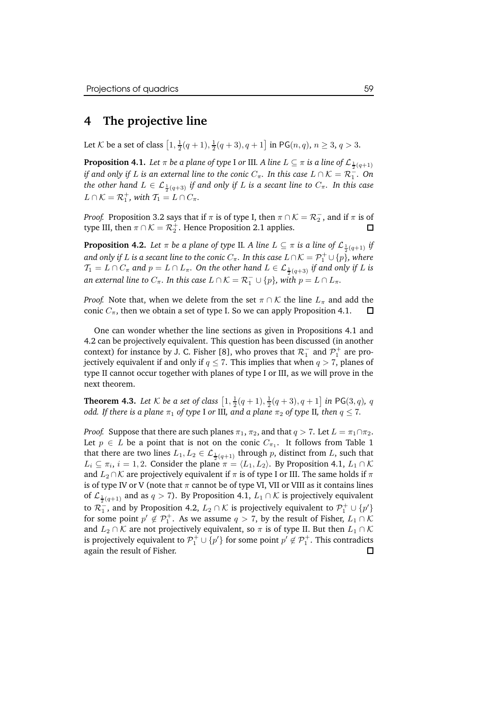### **4 The projective line**

Let K be a set of class  $\left[1, \frac{1}{2}(q + 1), \frac{1}{2}(q + 3), q + 1\right]$  in PG $(n, q)$ ,  $n \ge 3$ ,  $q > 3$ .

**Proposition 4.1.** Let  $\pi$  be a plane of type I or III. A line  $L \subseteq \pi$  is a line of  $\mathcal{L}_{\frac{1}{2}(q+1)}$ *if* and only if L is an external line to the conic  $C_{\pi}$ . In this case  $L \cap K = \mathcal{R}_1^-$ . On  $t$ *he* other hand  $L \in \mathcal{L}_{\frac{1}{2}(q+3)}$  if and only if  $L$  is a secant line to  $C_\pi$ . In this case  $L \cap \mathcal{K} = \mathcal{R}_1^+$ , with  $\mathcal{T}_1 = L \cap C_\pi$ .

*Proof.* Proposition 3.2 says that if  $\pi$  is of type I, then  $\pi \cap \mathcal{K} = \mathcal{R}^-_2$ , and if  $\pi$  is of type III, then  $\pi \cap \mathcal{K} = \mathcal{R}_2^+$ . Hence Proposition 2.1 applies.  $\Box$ 

**Proposition 4.2.** *Let*  $\pi$  *be a plane of type II. A line*  $L \subseteq \pi$  *is a line of*  $\mathcal{L}_{\frac{1}{2}(q+1)}$  *if and only if L is a secant line to the conic*  $C_{\pi}$ *. In this case*  $L \cap \mathcal{K} = \mathcal{P}_1^+ \cup \{p\}$ *, where*  $\mathcal{T}_1 = L \cap C_{\pi}$  and  $p = L \cap L_{\pi}.$  On the other hand  $L \in \mathcal{L}_{\frac{1}{2}(q+3)}$  if and only if  $L$  is *an* external line to  $C_{\pi}$ . In this case  $L \cap \mathcal{K} = \mathcal{R}_1^- \cup \{p\}$ , with  $p = L \cap L_{\pi}$ .

*Proof.* Note that, when we delete from the set  $\pi \cap \mathcal{K}$  the line  $L_{\pi}$  and add the conic  $C_{\pi}$ , then we obtain a set of type I. So we can apply Proposition 4.1.  $\square$ conic  $C_{\pi}$ , then we obtain a set of type I. So we can apply Proposition 4.1.

One can wonder whether the line sections as given in Propositions 4.1 and 4.2 can be projectively equivalent. This question has been discussed (in another context) for instance by J. C. Fisher [8], who proves that  $\mathcal{R}_1^-$  and  $\mathcal{P}_1^+$  are projectively equivalent if and only if  $q \leq 7$ . This implies that when  $q > 7$ , planes of type II cannot occur together with planes of type I or III, as we will prove in the next theorem.

**Theorem 4.3.** Let  $K$  be a set of class  $\left[1, \frac{1}{2}(q + 1), \frac{1}{2}(q + 3), q + 1\right]$  in PG(3, q), q *odd. If there is a plane*  $\pi_1$  *of type* I *or* III, *and a plane*  $\pi_2$  *of type* II, *then*  $q \leq 7$ .

*Proof.* Suppose that there are such planes  $\pi_1$ ,  $\pi_2$ , and that  $q > 7$ . Let  $L = \pi_1 \cap \pi_2$ . Let  $p \in L$  be a point that is not on the conic  $C_{\pi_1}$ . It follows from Table 1 that there are two lines  $L_1, L_2 \in \mathcal{L}_{\frac{1}{2}(q+1)}$  through p, distinct from L, such that  $L_i \subseteq \pi_i$ ,  $i = 1, 2$ . Consider the plane  $\pi = \langle L_1, L_2 \rangle$ . By Proposition 4.1,  $L_1 \cap \mathcal{K}$ and  $L_2 \cap \mathcal{K}$  are projectively equivalent if  $\pi$  is of type I or III. The same holds if  $\pi$ is of type IV or V (note that  $\pi$  cannot be of type VI, VII or VIII as it contains lines of  $\mathcal{L}_{\frac{1}{2}(q+1)}$  and as  $q > 7$ ). By Proposition 4.1,  $L_1 \cap \mathcal{K}$  is projectively equivalent to  $\mathcal{R}_1^-$ , and by Proposition 4.2,  $L_2 \cap \mathcal{K}$  is projectively equivalent to  $\mathcal{P}_1^+ \cup \{p'\}$ for some point  $p' \notin \mathcal{P}_1^+$ . As we assume  $q > 7$ , by the result of Fisher,  $L_1 \cap \mathcal{K}$ and  $L_2 \cap \mathcal{K}$  are not projectively equivalent, so  $\pi$  is of type II. But then  $L_1 \cap \mathcal{K}$ is projectively equivalent to  $\mathcal{P}_1^+ \cup \{p'\}$  for some point  $p' \not\in \mathcal{P}_1^+$ . This contradicts again the result of Fisher.口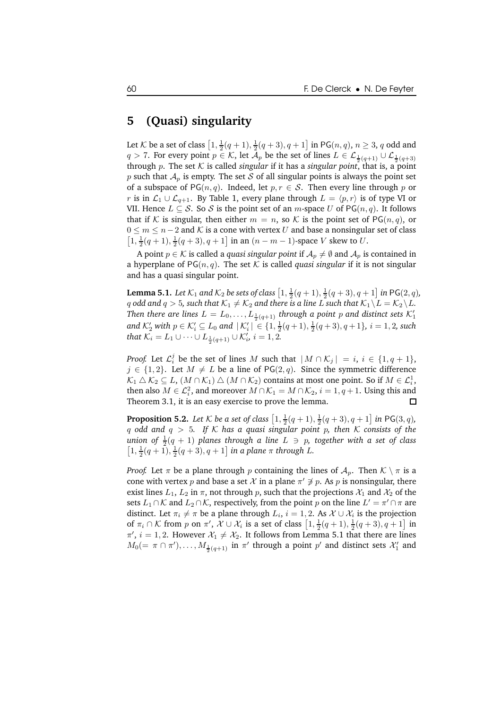#### **5 (Quasi) singularity**

Let  ${\cal K}$  be a set of class  $\left[1,\frac12(q+1),\frac12(q+3),q+1\right]$  in PG $(n,q),\,n\ge 3,\,q$  odd and  $q > 7$ . For every point  $p \in \mathcal{K}$ , let  $\mathcal{A}_p$  be the set of lines  $L \in \mathcal{L}_{\frac{1}{2}(q+1)} \cup \mathcal{L}_{\frac{1}{2}(q+3)}$ through p. The set  $K$  is called *singular* if it has a *singular point*, that is, a point p such that  $A_p$  is empty. The set S of all singular points is always the point set of a subspace of PG( $n, q$ ). Indeed, let  $p, r \in S$ . Then every line through p or r is in  $\mathcal{L}_1 \cup \mathcal{L}_{q+1}$ . By Table 1, every plane through  $L = \langle p, r \rangle$  is of type VI or VII. Hence  $L \subseteq S$ . So S is the point set of an *m*-space U of PG(*n*, *q*). It follows that if K is singular, then either  $m = n$ , so K is the point set of PG $(n, q)$ , or  $0 \leq m \leq n-2$  and K is a cone with vertex U and base a nonsingular set of class  $\left[1, \frac{1}{2}(q+1), \frac{1}{2}(q+3), q+1\right]$  in an  $(n-m-1)$  -space  $V$  skew to  $U.$ 

A point  $p \in \mathcal{K}$  is called a *quasi singular point* if  $\mathcal{A}_p \neq \emptyset$  and  $\mathcal{A}_p$  is contained in a hyperplane of  $PG(n, q)$ . The set K is called *quasi singular* if it is not singular and has a quasi singular point.

**Lemma 5.1.** Let  $K_1$  and  $K_2$  be sets of class  $\left[1, \frac{1}{2}(q + 1), \frac{1}{2}(q + 3), q + 1\right]$  in PG(2, q), q odd and  $q > 5$ , such that  $\mathcal{K}_1 \neq \mathcal{K}_2$  and there is a line L such that  $\mathcal{K}_1 \setminus L = \mathcal{K}_2 \setminus L$ . Then there are lines  $L = L_0, \ldots, L_{\frac{1}{2}(q+1)}$  through a point  $p$  and distinct sets  $\mathcal{K}_1'$  $\text{and } \mathcal{K}'_2 \text{ with } p \in \mathcal{K}'_i \subseteq L_0 \text{ and } |\mathcal{K}'_i| \in \{1, \frac{1}{2}(q+1), \frac{1}{2}(q+3), q+1\}, i = 1, 2 \text{, such}$ that  $\mathcal{K}_i = L_1 \cup \cdots \cup L_{\frac{1}{2}(q+1)} \cup \mathcal{K}'_i$ ,  $i = 1, 2$ .

*Proof.* Let  $\mathcal{L}_i^j$  be the set of lines M such that  $|M \cap \mathcal{K}_j| = i, i \in \{1, q + 1\}$ ,  $j \in \{1, 2\}$ . Let  $M \neq L$  be a line of PG(2, q). Since the symmetric difference  $\mathcal{K}_1 \bigtriangleup \mathcal{K}_2 \subseteq L$ ,  $(M \cap \mathcal{K}_1) \bigtriangleup (M \cap \mathcal{K}_2)$  contains at most one point. So if  $M \in \mathcal{L}_i^1$ , then also  $M \in \mathcal{L}_i^2$ , and moreover  $M \cap \mathcal{K}_1 = M \cap \mathcal{K}_2$ ,  $i = 1, q + 1$ . Using this and Theorem 3.1, it is an easy exercise to prove the lemma.

**Proposition 5.2.** Let  $K$  be a set of class  $\left[1, \frac{1}{2}(q + 1), \frac{1}{2}(q + 3), q + 1\right]$  in PG(3, q), q *odd and* q > 5*. If* K *has a quasi singular point* p*, then* K *consists of the*  $u$ nion of  $\frac{1}{2}(q + 1)$   $p$ lanes through  $a$  line  $L \ni p$ , together with  $a$  set of class  $[1, \frac{1}{2}(q+1), \frac{1}{2}(q+3), q+1]$  *in a plane*  $\pi$  *through L.* 

*Proof.* Let  $\pi$  be a plane through p containing the lines of  $A_p$ . Then  $K \setminus \pi$  is a cone with vertex  $p$  and base a set  $\mathcal X$  in a plane  $\pi' \not\ni p$ . As  $p$  is nonsingular, there exist lines  $L_1$ ,  $L_2$  in  $\pi$ , not through p, such that the projections  $\mathcal{X}_1$  and  $\mathcal{X}_2$  of the sets  $L_1 \cap \mathcal{K}$  and  $L_2 \cap \mathcal{K}$ , respectively, from the point  $p$  on the line  $L' = \pi' \cap \pi$  are distinct. Let  $\pi_i \neq \pi$  be a plane through  $L_i$ ,  $i = 1, 2$ . As  $\mathcal{X} \cup \mathcal{X}_i$  is the projection of  $\pi_i \cap \mathcal{K}$  from p on  $\pi'$ ,  $\mathcal{X} \cup \mathcal{X}_i$  is a set of class  $\left[1, \frac{1}{2}(q+1), \frac{1}{2}(q+3), q+1\right]$  in  $\pi'$ ,  $i = 1, 2$ . However  $\mathcal{X}_1 \neq \mathcal{X}_2$ . It follows from Lemma 5.1 that there are lines  $M_0(=\pi\cap\pi'),\ldots,M_{\frac{1}{2}(q+1)}$  in  $\pi'$  through a point  $p'$  and distinct sets  $\mathcal{X}'_1$  and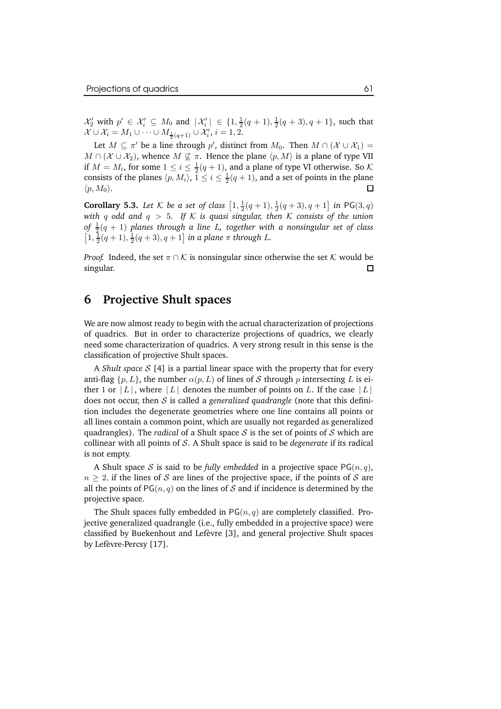$\mathcal{X}'_2$  with  $p' \in \mathcal{X}'_i \subseteq M_0$  and  $|\mathcal{X}'_i| \in \{1, \frac{1}{2}(q+1), \frac{1}{2}(q+3), q+1\}$ , such that  $\mathcal{X} \cup \mathcal{X}_i = M_1 \cup \cdots \cup M_{\frac{1}{2}(q+1)} \cup \mathcal{X}'_i, i = 1, 2.$ 

Let  $M \subseteq \pi'$  be a line through  $p'$ , distinct from  $M_0$ . Then  $M \cap (\mathcal{X} \cup \mathcal{X}_1) =$  $M \cap (\mathcal{X} \cup \mathcal{X}_2)$ , whence  $M \nsubseteq \pi$ . Hence the plane  $\langle p, M \rangle$  is a plane of type VII if  $M = M_i$ , for some  $1 \le i \le \frac{1}{2}(q + 1)$ , and a plane of type VI otherwise. So K consists of the planes  $\langle p, M_i \rangle$ ,  $1 \leq i \leq \frac{1}{2}(q + 1)$ , and a set of points in the plane П  $\langle p, M_0 \rangle$ .

**Corollary 5.3.** Let  $K$  be a set of class  $\left[1, \frac{1}{2}(q + 1), \frac{1}{2}(q + 3), q + 1\right]$  in PG(3, q) *with* q odd and  $q > 5$ . If K is quasi singular, then K consists of the union  $\frac{1}{2}(q+1)$  planes through a line L, together with a nonsingular set of class  $[1, \frac{1}{2}(q+1), \frac{1}{2}(q+3), q+1]$  *in a plane*  $\pi$  *through L.* 

*Proof.* Indeed, the set  $\pi \cap \mathcal{K}$  is nonsingular since otherwise the set  $\mathcal{K}$  would be singular. singular.

# **6 Projective Shult spaces**

We are now almost ready to begin with the actual characterization of projections of quadrics. But in order to characterize projections of quadrics, we clearly need some characterization of quadrics. A very strong result in this sense is the classification of projective Shult spaces.

A *Shult space* S [4] is a partial linear space with the property that for every anti-flag  $\{p,L\}$ , the number  $\alpha(p,L)$  of lines of S through p intersecting L is either 1 or  $|L|$ , where  $|L|$  denotes the number of points on L. If the case  $|L|$ does not occur, then S is called a *generalized quadrangle* (note that this definition includes the degenerate geometries where one line contains all points or all lines contain a common point, which are usually not regarded as generalized quadrangles). The *radical* of a Shult space  $S$  is the set of points of  $S$  which are collinear with all points of S. A Shult space is said to be *degenerate* if its radical is not empty.

A Shult space S is said to be *fully embedded* in a projective space  $PG(n, q)$ ,  $n > 2$ , if the lines of S are lines of the projective space, if the points of S are all the points of  $PG(n, q)$  on the lines of S and if incidence is determined by the projective space.

The Shult spaces fully embedded in  $PG(n, q)$  are completely classified. Projective generalized quadrangle (i.e., fully embedded in a projective space) were classified by Buekenhout and Lefèvre [3], and general projective Shult spaces by Lefèvre-Percsy [17].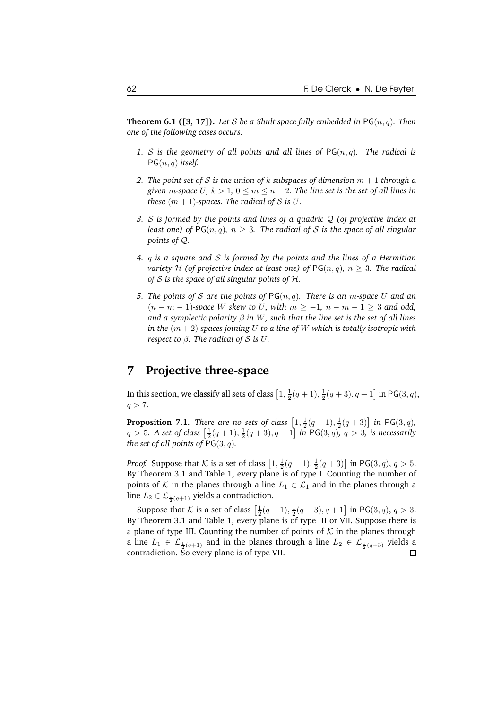**Theorem 6.1 ([3, 17]).** Let S be a Shult space fully embedded in  $PG(n, q)$ . Then *one of the following cases occurs.*

- 1. *S* is the geometry of all points and all lines of  $PG(n, q)$ . The radical is PG(n, q) *itself.*
- *2. The point set of S is the union of k subspaces of dimension*  $m + 1$  *through a given m*-space U,  $k > 1$ ,  $0 \le m \le n - 2$ . The line set is the set of all lines in *these*  $(m + 1)$ *-spaces. The radical of S is U.*
- *3.* S *is formed by the points and lines of a quadric* Q *(of projective index at least one*) *of*  $PG(n, q)$ *,*  $n \geq 3$ *. The radical of S is the space of all singular points of* Q*.*
- *4.* q *is a square and* S *is formed by the points and the lines of a Hermitian variety* H (of *projective index* at *least one*) of  $PG(n, q)$ ,  $n \geq 3$ . The *radical of* S *is the space of all singular points of* H*.*
- *5. The points of* S *are the points of* PG(n, q)*. There is an* m*-space* U *and an* (n − m − 1)*-space* W *skew to* U*, with* m ≥ −1*,* n − m − 1 ≥ 3 *and odd, and a symplectic polarity* β *in* W*, such that the line set is the set of all lines in the*  $(m + 2)$ -spaces *joining* U *to a line of* W *which is totally isotropic with respect to*  $\beta$ *. The radical of*  $S$  *is*  $U$ *.*

# **7 Projective three-space**

In this section, we classify all sets of class  $\left[1,\frac{1}{2}(q+1),\frac{1}{2}(q+3),q+1\right]$  in PG $(3,q)$ ,  $q > 7.$ 

**Proposition 7.1.** *There are no sets of class*  $\left[1, \frac{1}{2}(q + 1), \frac{1}{2}(q + 3)\right]$  *in* PG(3, q),  $q > 5$ . A set of class  $\left[\frac{1}{2}(q + 1), \frac{1}{2}(q + 3), q + 1\right]$  in PG(3, q),  $q > 3$ , is necessarily *the set of all points of*  $PG(3, q)$ *.* 

*Proof.* Suppose that K is a set of class  $\left[1, \frac{1}{2}(q+1), \frac{1}{2}(q+3)\right]$  in PG(3, q),  $q > 5$ . By Theorem 3.1 and Table 1, every plane is of type I. Counting the number of points of K in the planes through a line  $L_1 \in \mathcal{L}_1$  and in the planes through a line  $L_2 \in \mathcal{L}_{\frac{1}{2}(q+1)}$  yields a contradiction.

Suppose that K is a set of class  $\left[\frac{1}{2}(q+1), \frac{1}{2}(q+3), q+1\right]$  in PG(3, q),  $q > 3$ . By Theorem 3.1 and Table 1, every plane is of type III or VII. Suppose there is a plane of type III. Counting the number of points of  $K$  in the planes through a line  $L_1 \in \mathcal{L}_{\frac{1}{2}(q+1)}$  and in the planes through a line  $L_2 \in \mathcal{L}_{\frac{1}{2}(q+3)}$  yields a contradiction. So every plane is of type VII. П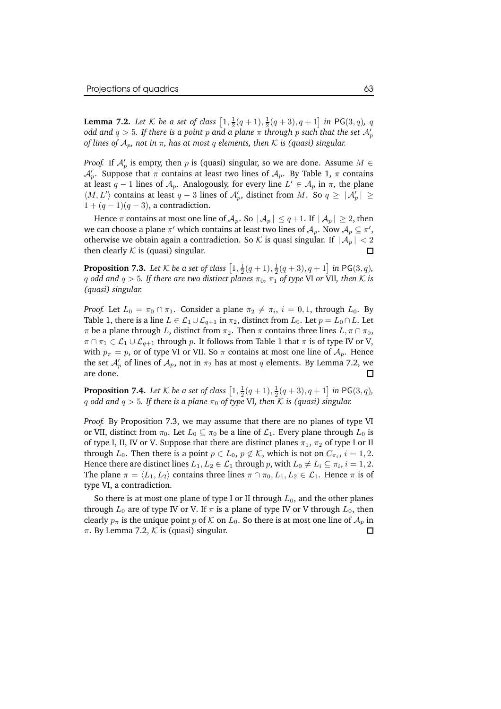**Lemma 7.2.** Let K be a set of class  $\left[1, \frac{1}{2}(q + 1), \frac{1}{2}(q + 3), q + 1\right]$  in PG(3, q), q *odd and*  $q > 5$ *. If there is a point*  $p$  *and a plane*  $\pi$  *<i>through*  $p$  *such that the set*  $\mathcal{A}'_p$ *of lines of* Ap*, not in* π*, has at most* q *elements, then* K *is (quasi) singular.*

*Proof.* If  $\mathcal{A}'_p$  is empty, then p is (quasi) singular, so we are done. Assume  $M \in$  $\mathcal{A}_p'$ . Suppose that  $\pi$  contains at least two lines of  $\mathcal{A}_p$ . By Table 1,  $\pi$  contains at least  $q-1$  lines of  $\mathcal{A}_p$ . Analogously, for every line  $L' \in \mathcal{A}_p$  in  $\pi$ , the plane  $\langle M, L' \rangle$  contains at least  $q-3$  lines of  $\mathcal{A}'_p$ , distinct from M. So  $q \geq |\mathcal{A}'_p| \geq$  $1 + (q - 1)(q - 3)$ , a contradiction.

Hence  $\pi$  contains at most one line of  $\mathcal{A}_p$ . So  $|\mathcal{A}_p| \leq q+1$ . If  $|\mathcal{A}_p| \geq 2$ , then we can choose a plane  $\pi'$  which contains at least two lines of  $\mathcal{A}_p$ . Now  $\mathcal{A}_p\subseteq \pi',$ otherwise we obtain again a contradiction. So  $K$  is quasi singular. If  $|A_p| < 2$ <br>then clearly  $K$  is (quasi) singular. then clearly  $K$  is (quasi) singular.

**Proposition 7.3.** *Let*  $K$  *be a set of class*  $\left[1, \frac{1}{2}(q + 1), \frac{1}{2}(q + 3), q + 1\right]$  *in* PG(3, *q*)*,* q odd and  $q > 5$ . If there are two distinct planes  $\pi_0$ ,  $\pi_1$  of type VI or VII, then K is *(quasi) singular.*

*Proof.* Let  $L_0 = \pi_0 \cap \pi_1$ . Consider a plane  $\pi_2 \neq \pi_i$ ,  $i = 0, 1$ , through  $L_0$ . By Table 1, there is a line  $L \in \mathcal{L}_1 \cup \mathcal{L}_{q+1}$  in  $\pi_2$ , distinct from  $L_0$ . Let  $p = L_0 \cap L$ . Let  $\pi$  be a plane through L, distinct from  $\pi_2$ . Then  $\pi$  contains three lines  $L, \pi \cap \pi_0$ ,  $\pi \cap \pi_1 \in \mathcal{L}_1 \cup \mathcal{L}_{q+1}$  through p. It follows from Table 1 that  $\pi$  is of type IV or V, with  $p_{\pi} = p$ , or of type VI or VII. So  $\pi$  contains at most one line of  $\mathcal{A}_p$ . Hence the set  $\mathcal{A}'_p$  of lines of  $\mathcal{A}_p$ , not in  $\pi_2$  has at most  $q$  elements. By Lemma 7.2, we are done.

**Proposition 7.4.** Let  $K$  be a set of class  $\left[1, \frac{1}{2}(q+1), \frac{1}{2}(q+3), q+1\right]$  in PG(3, q), q odd and  $q > 5$ . If there is a plane  $\pi_0$  of type VI, then K is (quasi) singular.

*Proof.* By Proposition 7.3, we may assume that there are no planes of type VI or VII, distinct from  $\pi_0$ . Let  $L_0 \subseteq \pi_0$  be a line of  $\mathcal{L}_1$ . Every plane through  $L_0$  is of type I, II, IV or V. Suppose that there are distinct planes  $\pi_1$ ,  $\pi_2$  of type I or II through  $L_0$ . Then there is a point  $p \in L_0$ ,  $p \notin \mathcal{K}$ , which is not on  $C_{\pi_i}$ ,  $i = 1, 2$ . Hence there are distinct lines  $L_1, L_2 \in \mathcal{L}_1$  through  $p$ , with  $L_0 \neq L_i \subseteq \pi_i$ ,  $i = 1, 2$ . The plane  $\pi = \langle L_1, L_2 \rangle$  contains three lines  $\pi \cap \pi_0, L_1, L_2 \in \mathcal{L}_1$ . Hence  $\pi$  is of type VI, a contradiction.

So there is at most one plane of type I or II through  $L_0$ , and the other planes through  $L_0$  are of type IV or V. If  $\pi$  is a plane of type IV or V through  $L_0$ , then clearly  $p_{\pi}$  is the unique point p of K on  $L_0$ . So there is at most one line of  $\mathcal{A}_p$  in  $\pi$ . By Lemma 7.2, K is (quasi) singular π. By Lemma 7.2,  $K$  is (quasi) singular.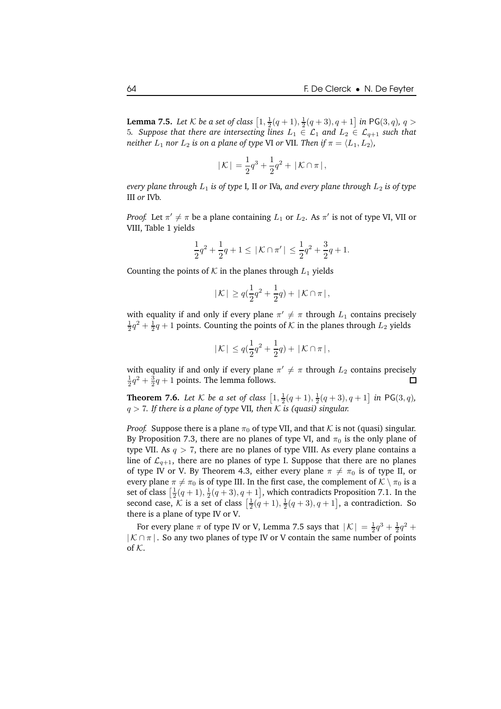**Lemma 7.5.** *Let*  $K$  *be a set of class*  $\left[1, \frac{1}{2}(q + 1), \frac{1}{2}(q + 3), q + 1\right]$  *in* PG(3, *q*)*, q* > 5*. Suppose that there are intersecting lines*  $L_1 \in \mathcal{L}_1$  and  $L_2 \in \mathcal{L}_{q+1}$  *such that neither*  $L_1$  *nor*  $L_2$  *is on a plane of type* VI *or* VII. Then if  $\pi = \langle L_1, L_2 \rangle$ ,

$$
|\mathcal{K}| = \frac{1}{2}q^3 + \frac{1}{2}q^2 + |\mathcal{K} \cap \pi|,
$$

*every* plane *through*  $L_1$  *is of type* I, II *or* IVa, and *every* plane *through*  $L_2$  *is of type* III *or* IVb*.*

*Proof.* Let  $\pi' \neq \pi$  be a plane containing  $L_1$  or  $L_2$ . As  $\pi'$  is not of type VI, VII or VIII, Table 1 yields

$$
\frac{1}{2}q^2+\frac{1}{2}q+1\leq\,|\,\mathcal{K}\cap\pi'\,|\,\leq \frac{1}{2}q^2+\frac{3}{2}q+1.
$$

Counting the points of  $K$  in the planes through  $L_1$  yields

$$
|\mathcal{K}| \ge q\left(\frac{1}{2}q^2 + \frac{1}{2}q\right) + |\mathcal{K} \cap \pi|,
$$

with equality if and only if every plane  $\pi' \neq \pi$  through  $L_1$  contains precisely  $\frac{1}{2}q^2 + \frac{1}{2}q + 1$  points. Counting the points of  ${\cal K}$  in the planes through  $L_2$  yields

$$
|\mathcal{K}| \le q(\frac{1}{2}q^2 + \frac{1}{2}q) + |\mathcal{K} \cap \pi|,
$$

with equality if and only if every plane  $\pi' \neq \pi$  through  $L_2$  contains precisely  $\frac{1}{2}q^2 + \frac{3}{2}q + 1$  points. The lemma follows.

**Theorem 7.6.** Let  $K$  be a set of class  $\left[1, \frac{1}{2}(q + 1), \frac{1}{2}(q + 3), q + 1\right]$  in PG(3, q), q > 7*. If there is a plane of type* VII*, then* K *is (quasi) singular.*

*Proof.* Suppose there is a plane  $\pi_0$  of type VII, and that  $K$  is not (quasi) singular. By Proposition 7.3, there are no planes of type VI, and  $\pi_0$  is the only plane of type VII. As  $q > 7$ , there are no planes of type VIII. As every plane contains a line of  $\mathcal{L}_{q+1}$ , there are no planes of type I. Suppose that there are no planes of type IV or V. By Theorem 4.3, either every plane  $\pi \neq \pi_0$  is of type II, or every plane  $\pi \neq \pi_0$  is of type III. In the first case, the complement of  $K \setminus \pi_0$  is a set of class  $\left[\frac{1}{2}(q+1), \frac{1}{2}(q+3), q+1\right]$ , which contradicts Proposition 7.1. In the second case,  $\mathcal{K}$  is a set of class  $\left[\frac{1}{2}(q+1), \frac{1}{2}(q+3), q+1\right]$ , a contradiction. So there is a plane of type IV or V.

For every plane  $\pi$  of type IV or V, Lemma 7.5 says that  $|K| = \frac{1}{2}q^3 + \frac{1}{2}q^2 + \frac{1}{2}q^3$  $|K \cap \pi|$ . So any two planes of type IV or V contain the same number of points of  $K$ .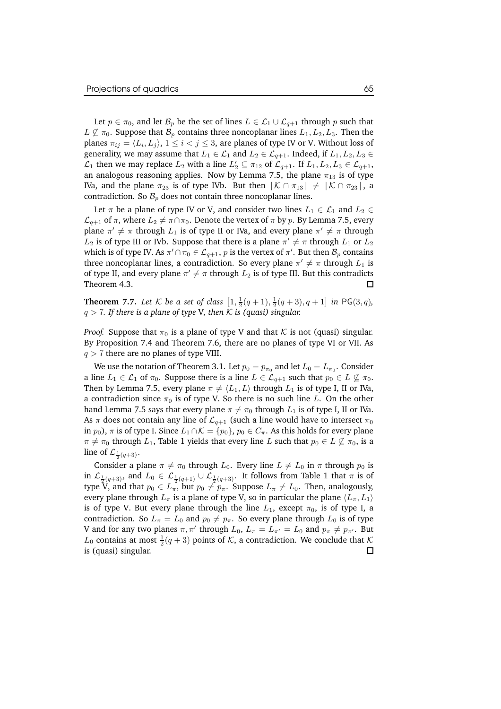Let  $p \in \pi_0$ , and let  $\mathcal{B}_p$  be the set of lines  $L \in \mathcal{L}_1 \cup \mathcal{L}_{q+1}$  through p such that  $L \nsubseteq \pi_0$ . Suppose that  $\mathcal{B}_p$  contains three noncoplanar lines  $L_1, L_2, L_3$ . Then the planes  $\pi_{ij} = \langle L_i, L_j \rangle$ ,  $1 \leq i < j \leq 3$ , are planes of type IV or V. Without loss of generality, we may assume that  $L_1 \in \mathcal{L}_1$  and  $L_2 \in \mathcal{L}_{q+1}$ . Indeed, if  $L_1, L_2, L_3 \in$  $\mathcal{L}_1$  then we may replace  $L_2$  with a line  $L'_2 \subseteq \pi_{12}$  of  $\mathcal{L}_{q+1}$ . If  $L_1, L_2, L_3 \in \mathcal{L}_{q+1}$ , an analogous reasoning applies. Now by Lemma 7.5, the plane  $\pi_{13}$  is of type IVa, and the plane  $\pi_{23}$  is of type IVb. But then  $|K \cap \pi_{13}| \neq |K \cap \pi_{23}|$ , a contradiction. So  $\mathcal{B}_p$  does not contain three noncoplanar lines.

Let  $\pi$  be a plane of type IV or V, and consider two lines  $L_1 \in \mathcal{L}_1$  and  $L_2 \in$  $\mathcal{L}_{q+1}$  of  $\pi$ , where  $L_2 \neq \pi \cap \pi_0$ . Denote the vertex of  $\pi$  by p. By Lemma 7.5, every plane  $\pi' \neq \pi$  through  $L_1$  is of type II or IVa, and every plane  $\pi' \neq \pi$  through  $L_2$  is of type III or IVb. Suppose that there is a plane  $\pi' \neq \pi$  through  $L_1$  or  $L_2$ which is of type IV. As  $\pi' \cap \pi_0 \in \mathcal{L}_{q+1},$   $p$  is the vertex of  $\pi'.$  But then  $\mathcal{B}_p$  contains three noncoplanar lines, a contradiction. So every plane  $\pi' \neq \pi$  through  $L_1$  is of type II, and every plane  $\pi' \neq \pi$  through  $L_2$  is of type III. But this contradicts Theorem 4.3.

**Theorem 7.7.** Let K be a set of class  $\left[1, \frac{1}{2}(q + 1), \frac{1}{2}(q + 3), q + 1\right]$  in PG(3, q),  $q > 7$ . If there is a plane of type V, then K is (quasi) singular.

*Proof.* Suppose that  $\pi_0$  is a plane of type V and that K is not (quasi) singular. By Proposition 7.4 and Theorem 7.6, there are no planes of type VI or VII. As  $q > 7$  there are no planes of type VIII.

We use the notation of Theorem 3.1. Let  $p_0 = p_{\pi_0}$  and let  $L_0 = L_{\pi_0}.$  Consider a line  $L_1 \in \mathcal{L}_1$  of  $\pi_0$ . Suppose there is a line  $L \in \mathcal{L}_{q+1}$  such that  $p_0 \in L \not\subseteq \pi_0$ . Then by Lemma 7.5, every plane  $\pi \neq \langle L_1,L \rangle$  through  $L_1$  is of type I, II or IVa, a contradiction since  $\pi_0$  is of type V. So there is no such line L. On the other hand Lemma 7.5 says that every plane  $\pi \neq \pi_0$  through  $L_1$  is of type I, II or IVa. As  $\pi$  does not contain any line of  $\mathcal{L}_{q+1}$  (such a line would have to intersect  $\pi_0$ in  $p_0$ ),  $\pi$  is of type I. Since  $L_1 \cap \mathcal{K} = \{p_0\}$ ,  $p_0 \in C_{\pi}$ . As this holds for every plane  $\pi \neq \pi_0$  through  $L_1$ , Table 1 yields that every line L such that  $p_0 \in L \not\subseteq \pi_0$ , is a line of  $\mathcal{L}_{\frac{1}{2}(q+3)}$ .

Consider a plane  $\pi \neq \pi_0$  through  $L_0$ . Every line  $L \neq L_0$  in  $\pi$  through  $p_0$  is in  $\mathcal{L}_{\frac{1}{2}(q+3)}$ , and  $L_0 \in \mathcal{L}_{\frac{1}{2}(q+1)} \cup \mathcal{L}_{\frac{1}{2}(q+3)}$ . It follows from Table 1 that  $\pi$  is of type V, and that  $p_0 \in L_{\pi}$ , but  $p_0 \neq p_{\pi}$ . Suppose  $L_{\pi} \neq L_0$ . Then, analogously, every plane through  $L_\pi$  is a plane of type V, so in particular the plane  $\langle L_\pi,L_1\rangle$ is of type V. But every plane through the line  $L_1$ , except  $\pi_0$ , is of type I, a contradiction. So  $L_{\pi} = L_0$  and  $p_0 \neq p_{\pi}$ . So every plane through  $L_0$  is of type V and for any two planes  $\pi, \pi'$  through  $L_0$ ,  $L_{\pi} = L_{\pi'} = L_0$  and  $p_{\pi} \neq p_{\pi'}$ . But  $L_0$  contains at most  $\frac{1}{2}(q+3)$  points of  $K$ , a contradiction. We conclude that  $K$ is (quasi) singular.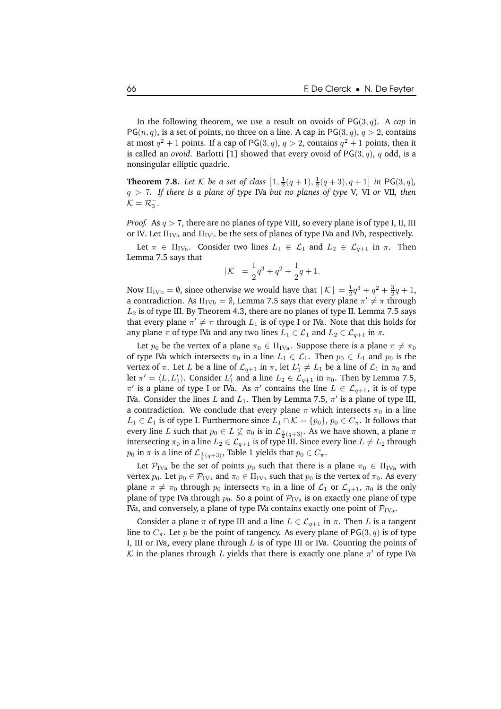In the following theorem, we use a result on ovoids of PG(3, q). A *cap* in  $PG(n, q)$ , is a set of points, no three on a line. A cap in  $PG(3, q)$ ,  $q > 2$ , contains at most  $q^2 + 1$  points. If a cap of PG(3, q),  $q > 2$ , contains  $q^2 + 1$  points, then it is called an *ovoid*. Barlotti [1] showed that every ovoid of  $PG(3, q)$ , q odd, is a nonsingular elliptic quadric.

**Theorem 7.8.** Let K be a set of class  $\left[1, \frac{1}{2}(q + 1), \frac{1}{2}(q + 3), q + 1\right]$  in PG(3, q), q > 7*. If there is a plane of type* IVa *but no planes of type* V*,* VI *or* VII*, then*  $\mathcal{K} = \mathcal{R}_3^-$ .

*Proof.* As  $q > 7$ , there are no planes of type VIII, so every plane is of type I, II, III or IV. Let  $\Pi_{\text{IVa}}$  and  $\Pi_{\text{IVb}}$  be the sets of planes of type IVa and IVb, respectively.

Let  $\pi \in \Pi_{\text{IVa}}$ . Consider two lines  $L_1 \in \mathcal{L}_1$  and  $L_2 \in \mathcal{L}_{q+1}$  in  $\pi$ . Then Lemma 7.5 says that

$$
|\mathcal{K}| = \frac{1}{2}q^3 + q^2 + \frac{1}{2}q + 1.
$$

Now  $\Pi_{\text{IVb}} = \emptyset$ , since otherwise we would have that  $|K| = \frac{1}{2}q^3 + q^2 + \frac{3}{2}q + 1$ , a contradiction. As  $\Pi_{\rm IVb} = \emptyset$ , Lemma 7.5 says that every plane  $\pi' \neq \pi$  through  $L_2$  is of type III. By Theorem 4.3, there are no planes of type II. Lemma 7.5 says that every plane  $\pi' \neq \pi$  through  $L_1$  is of type I or IVa. Note that this holds for any plane  $\pi$  of type IVa and any two lines  $L_1 \in \mathcal{L}_1$  and  $L_2 \in \mathcal{L}_{q+1}$  in  $\pi$ .

Let  $p_0$  be the vertex of a plane  $\pi_0 \in \Pi_{\text{IVa}}$ . Suppose there is a plane  $\pi \neq \pi_0$ of type IVa which intersects  $\pi_0$  in a line  $L_1 \in \mathcal{L}_1$ . Then  $p_0 \in L_1$  and  $p_0$  is the vertex of  $\pi$ . Let L be a line of  $\mathcal{L}_{q+1}$  in  $\pi$ , let  $L'_1 \neq L_1$  be a line of  $\mathcal{L}_1$  in  $\pi_0$  and let  $\pi' = \langle L, L'_1 \rangle$ . Consider  $L'_1$  and a line  $L_2 \in \mathcal{L}_{q+1}$  in  $\pi_0$ . Then by Lemma 7.5,  $\pi'$  is a plane of type I or IVa. As  $\pi'$  contains the line  $L \in \mathcal{L}_{q+1}$ , it is of type IVa. Consider the lines  $L$  and  $L_1$ . Then by Lemma 7.5,  $\pi'$  is a plane of type III, a contradiction. We conclude that every plane  $\pi$  which intersects  $\pi_0$  in a line  $L_1$  ∈  $\mathcal{L}_1$  is of type I. Furthermore since  $L_1 \cap \mathcal{K} = \{p_0\}$ ,  $p_0 \in C_\pi$ . It follows that every line L such that  $p_0 \in L \not\subseteq \pi_0$  is in  $\mathcal{L}_{\frac{1}{2}(q+3)}$ . As we have shown, a plane  $\pi$ intersecting  $\pi_0$  in a line  $L_2 \in \mathcal{L}_{q+1}$  is of type III. Since every line  $L \neq L_2$  through  $p_0$  in  $\pi$  is a line of  $\mathcal{L}_{\frac{1}{2}(q+3)}$ , Table 1 yields that  $p_0 \in C_{\pi}$ .

Let  $\mathcal{P}_{IVa}$  be the set of points  $p_0$  such that there is a plane  $\pi_0 \in \Pi_{IVa}$  with vertex  $p_0$ . Let  $p_0 \in \mathcal{P}_{\text{IVa}}$  and  $\pi_0 \in \Pi_{\text{IVa}}$  such that  $p_0$  is the vertex of  $\pi_0$ . As every plane  $\pi \neq \pi_0$  through  $p_0$  intersects  $\pi_0$  in a line of  $\mathcal{L}_1$  or  $\mathcal{L}_{q+1}$ ,  $\pi_0$  is the only plane of type IVa through  $p_0$ . So a point of  $\mathcal{P}_{IVa}$  is on exactly one plane of type IVa, and conversely, a plane of type IVa contains exactly one point of  $\mathcal{P}_{\text{IVa}}$ .

Consider a plane  $\pi$  of type III and a line  $L \in \mathcal{L}_{q+1}$  in  $\pi$ . Then L is a tangent line to  $C_{\pi}$ . Let p be the point of tangency. As every plane of PG(3, q) is of type I, III or IVa, every plane through  $L$  is of type III or IVa. Counting the points of  $\mathcal K$  in the planes through  $L$  yields that there is exactly one plane  $\pi'$  of type IVa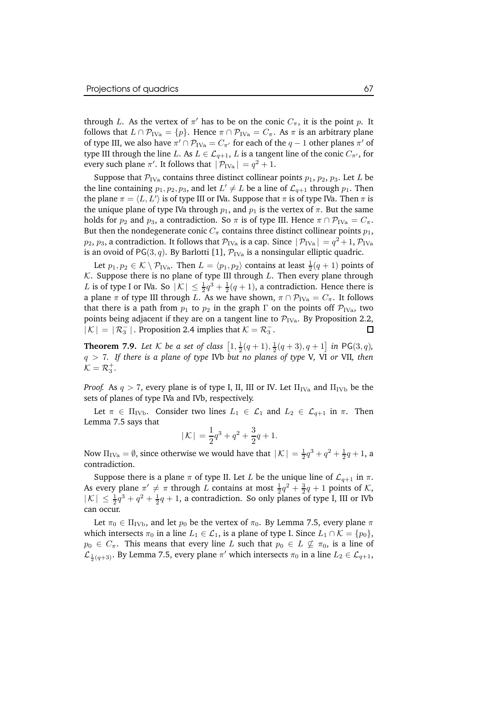through L. As the vertex of  $\pi'$  has to be on the conic  $C_{\pi}$ , it is the point  $p$ . It follows that  $L \cap \mathcal{P}_{\text{IVa}} = \{p\}$ . Hence  $\pi \cap \mathcal{P}_{\text{IVa}} = C_{\pi}$ . As  $\pi$  is an arbitrary plane of type III, we also have  $\pi' \cap \mathcal{P}_{\text{IVa}} = C_{\pi'}$  for each of the  $q-1$  other planes  $\pi'$  of type III through the line L. As  $L \in \mathcal{L}_{q+1}$ , L is a tangent line of the conic  $C_{\pi}$ , for every such plane  $\pi'$ . It follows that  $|\mathcal{P}_{IVa}| = q^2 + 1$ .

Suppose that  $\mathcal{P}_{IVa}$  contains three distinct collinear points  $p_1$ ,  $p_2$ ,  $p_3$ . Let L be the line containing  $p_1, p_2, p_3$ , and let  $L' \neq L$  be a line of  $\mathcal{L}_{q+1}$  through  $p_1$ . Then the plane  $\pi = \langle L,L' \rangle$  is of type III or IVa. Suppose that  $\pi$  is of type IVa. Then  $\pi$  is the unique plane of type IVa through  $p_1$ , and  $p_1$  is the vertex of  $\pi$ . But the same holds for  $p_2$  and  $p_3$ , a contradiction. So  $\pi$  is of type III. Hence  $\pi \cap \mathcal{P}_{IVa} = C_{\pi}$ . But then the nondegenerate conic  $C_\pi$  contains three distinct collinear points  $p_1$ ,  $p_2, p_3$ , a contradiction. It follows that  $\mathcal{P}_{\rm IVa}$  is a cap. Since  $|\,\mathcal{P}_{\rm IVa}| = q^2 + 1$ ,  $\mathcal{P}_{\rm IVa}$ is an ovoid of PG(3, q). By Barlotti [1],  $\mathcal{P}_{IVa}$  is a nonsingular elliptic quadric.

Let  $p_1, p_2 \in \mathcal{K} \setminus \mathcal{P}_{IVa}$ . Then  $L = \langle p_1, p_2 \rangle$  contains at least  $\frac{1}{2}(q+1)$  points of  $K$ . Suppose there is no plane of type III through  $L$ . Then every plane through L is of type I or IVa. So  $|\mathcal{K}| \leq \frac{1}{2}q^3 + \frac{1}{2}(q+1)$ , a contradiction. Hence there is a plane  $\pi$  of type III through L. As we have shown,  $\pi \cap \mathcal{P}_{IVa} = C_{\pi}$ . It follows that there is a path from  $p_1$  to  $p_2$  in the graph  $\Gamma$  on the points off  $\mathcal{P}_{IVa}$ , two points being adjacent if they are on a tangent line to  $\mathcal{P}_{IVa}$ . By Proposition 2.2,  $|\mathcal{K}| = |\mathcal{R}_2^-|$ . Proposition 2.4 implies that  $\mathcal{K} = \mathcal{R}_2^-$ .  $|K| = |\mathcal{R}_3^-|$ . Proposition 2.4 implies that  $K = \mathcal{R}_3^-$ .

**Theorem 7.9.** Let K be a set of class  $\left[1, \frac{1}{2}(q + 1), \frac{1}{2}(q + 3), q + 1\right]$  in PG(3, q), q > 7*. If there is a plane of type* IVb *but no planes of type* V*,* VI *or* VII*, then*  $\mathcal{K} = \mathcal{R}_3^+$ .

*Proof.* As  $q > 7$ , every plane is of type I, II, III or IV. Let  $\Pi_{IVa}$  and  $\Pi_{IVb}$  be the sets of planes of type IVa and IVb, respectively.

Let  $\pi \in \Pi_{\text{IVb}}$ . Consider two lines  $L_1 \in \mathcal{L}_1$  and  $L_2 \in \mathcal{L}_{q+1}$  in  $\pi$ . Then Lemma 7.5 says that

$$
|\mathcal{K}| = \frac{1}{2}q^3 + q^2 + \frac{3}{2}q + 1.
$$

Now  $\Pi_{\text{IVa}} = \emptyset$ , since otherwise we would have that  $|K| = \frac{1}{2}q^3 + q^2 + \frac{1}{2}q + 1$ , a contradiction.

Suppose there is a plane  $\pi$  of type II. Let L be the unique line of  $\mathcal{L}_{q+1}$  in  $\pi$ . As every plane  $\pi' \neq \pi$  through L contains at most  $\frac{1}{2}q^2 + \frac{3}{2}q + 1$  points of K,  $|\mathcal{K}| \leq \frac{1}{2}q^3 + q^2 + \frac{1}{2}q + 1$ , a contradiction. So only planes of type I, III or IVb can occur.

Let  $\pi_0 \in \Pi_{\text{IVb}}$ , and let  $p_0$  be the vertex of  $\pi_0$ . By Lemma 7.5, every plane  $\pi$ which intersects  $\pi_0$  in a line  $L_1 \in \mathcal{L}_1$ , is a plane of type I. Since  $L_1 \cap \mathcal{K} = \{p_0\}$ ,  $p_0 \in C_\pi$ . This means that every line L such that  $p_0 \in L \not\subseteq \pi_0$ , is a line of  $\mathcal{L}_{\frac{1}{2}(q+3)}$ . By Lemma 7.5, every plane  $\pi'$  which intersects  $\pi_0$  in a line  $L_2 \in \mathcal{L}_{q+1}$ ,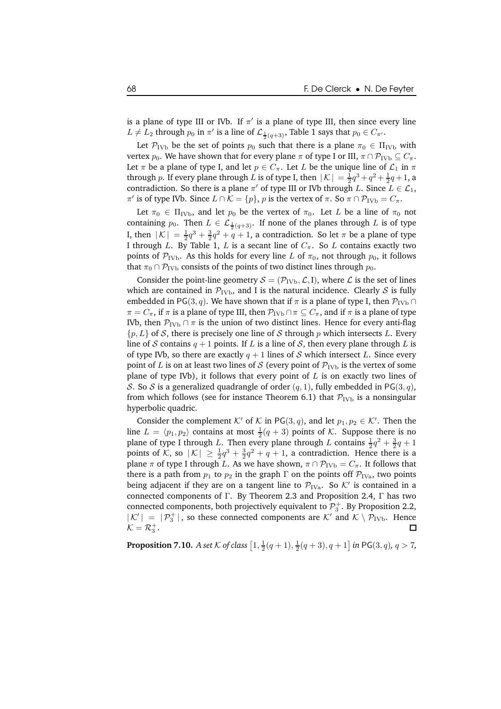is a plane of type III or IVb. If  $\pi'$  is a plane of type III, then since every line  $L \neq L_2$  through  $p_0$  in  $\pi'$  is a line of  $\mathcal{L}_{\frac{1}{2}(q+3)}$ , Table 1 says that  $p_0 \in C_{\pi'}$ .

Let  $\mathcal{P}_{\text{IVb}}$  be the set of points  $p_0$  such that there is a plane  $\pi_0 \in \Pi_{\text{IVb}}$  with vertex  $p_0$ . We have shown that for every plane  $\pi$  of type I or III,  $\pi \cap \mathcal{P}_{\text{IVb}} \subseteq C_{\pi}$ . Let  $\pi$  be a plane of type I, and let  $p \in C_{\pi}$ . Let L be the unique line of  $\mathcal{L}_1$  in  $\pi$ through p. If every plane through L is of type I, then  $|K| = \frac{1}{2}q^3 + q^2 + \frac{1}{2}q + 1$ , a contradiction. So there is a plane  $\pi'$  of type III or IVb through L. Since  $L \in \mathcal{L}_1$ ,  $π'$  is of type IVb. Since  $L ∩ K = {p}$ ,  $p$  is the vertex of  $π$ . So  $π ∩ P<sub>IVb</sub> = C<sub>π</sub>$ .

Let  $\pi_0 \in \Pi_{\text{IVb}}$ , and let  $p_0$  be the vertex of  $\pi_0$ . Let L be a line of  $\pi_0$  not containing  $p_0$ . Then  $L \in \mathcal{L}_{\frac{1}{2}(q+3)}$ . If none of the planes through  $L$  is of type I, then  $|K| = \frac{1}{2}q^3 + \frac{3}{2}q^2 + q + 1$ , a contradiction. So let  $\pi$  be a plane of type I through L. By Table 1, L is a secant line of  $C_\pi$ . So L contains exactly two points of  $P_{\text{IVb}}$ . As this holds for every line L of  $\pi_0$ , not through  $p_0$ , it follows that  $\pi_0 \cap \mathcal{P}_{IVb}$  consists of the points of two distinct lines through  $p_0$ .

Consider the point-line geometry  $S = (\mathcal{P}_{IVb}, \mathcal{L}, I)$ , where  $\mathcal L$  is the set of lines which are contained in  $\mathcal{P}_{\text{IVb}}$ , and I is the natural incidence. Clearly *S* is fully embedded in PG(3, q). We have shown that if  $\pi$  is a plane of type I, then  $\mathcal{P}_{\text{IVb}} \cap$  $\pi = C_{\pi}$ , if  $\pi$  is a plane of type III, then  $\mathcal{P}_{IVb} \cap \pi \subseteq C_{\pi}$ , and if  $\pi$  is a plane of type IVb, then  $P_{\text{IVb}} \cap \pi$  is the union of two distinct lines. Hence for every anti-flag  $\{p,L\}$  of S, there is precisely one line of S through p which intersects L. Every line of S contains  $q + 1$  points. If L is a line of S, then every plane through L is of type IVb, so there are exactly  $q + 1$  lines of S which intersect L. Since every point of L is on at least two lines of S (every point of  $\mathcal{P}_{\text{IVb}}$  is the vertex of some plane of type IVb), it follows that every point of  $L$  is on exactly two lines of S. So S is a generalized quadrangle of order  $(q, 1)$ , fully embedded in PG(3, q), from which follows (see for instance Theorem 6.1) that  $P_{IVb}$  is a nonsingular hyperbolic quadric.

Consider the complement  $K'$  of  $K$  in PG(3, q), and let  $p_1, p_2 \in K'$ . Then the line  $L = \langle p_1, p_2 \rangle$  contains at most  $\frac{1}{2}(q + 3)$  points of K. Suppose there is no plane of type I through L. Then every plane through L contains  $\frac{1}{2}q^2 + \frac{3}{2}q + 1$ points of K, so  $|K| \geq \frac{1}{2}q^3 + \frac{3}{2}q^2 + q + 1$ , a contradiction. Hence there is a plane  $\pi$  of type I through L. As we have shown,  $\pi \cap \mathcal{P}_{IVb} = C_{\pi}$ . It follows that there is a path from  $p_1$  to  $p_2$  in the graph  $\Gamma$  on the points off  $P_{IVa}$ , two points being adjacent if they are on a tangent line to  $\mathcal{P}_{\text{IVa}}$ . So  $\mathcal{K}'$  is contained in a connected components of Γ. By Theorem 2.3 and Proposition 2.4, Γ has two connected components, both projectively equivalent to  $\mathcal{P}_3^+$ . By Proposition 2.2,  $|K'| = |\mathcal{P}_3^+|$ , so these connected components are  $K'$  and  $K \setminus \mathcal{P}_{IVb}$ . Hence  $K = \mathcal{R}_3^+$ .

**Proposition 7.10.** *A set*  $K$  *of class*  $\left[1, \frac{1}{2}(q + 1), \frac{1}{2}(q + 3), q + 1\right]$  *in* PG(3, *q*)*, q* > 7*,*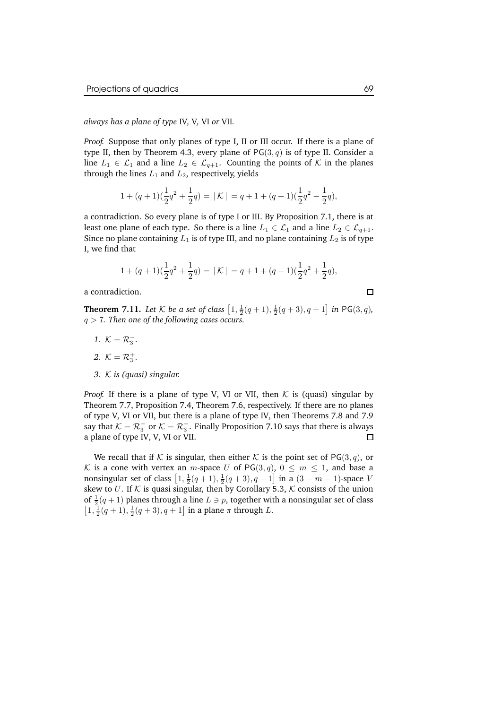*always has a plane of type* IV*,* V*,* VI *or* VII*.*

*Proof.* Suppose that only planes of type I, II or III occur. If there is a plane of type II, then by Theorem 4.3, every plane of  $PG(3, q)$  is of type II. Consider a line  $L_1 \in \mathcal{L}_1$  and a line  $L_2 \in \mathcal{L}_{q+1}$ . Counting the points of K in the planes through the lines  $L_1$  and  $L_2$ , respectively, yields

$$
1 + (q+1)(\frac{1}{2}q^{2} + \frac{1}{2}q) = |\mathcal{K}| = q + 1 + (q+1)(\frac{1}{2}q^{2} - \frac{1}{2}q),
$$

a contradiction. So every plane is of type I or III. By Proposition 7.1, there is at least one plane of each type. So there is a line  $L_1 \in \mathcal{L}_1$  and a line  $L_2 \in \mathcal{L}_{q+1}$ . Since no plane containing  $L_1$  is of type III, and no plane containing  $L_2$  is of type I, we find that

$$
1 + (q+1)(\frac{1}{2}q^{2} + \frac{1}{2}q) = |\mathcal{K}| = q + 1 + (q+1)(\frac{1}{2}q^{2} + \frac{1}{2}q),
$$

a contradiction.

**Theorem 7.11.** Let  $K$  be a set of class  $\left[1, \frac{1}{2}(q + 1), \frac{1}{2}(q + 3), q + 1\right]$  in PG(3, q), q > 7*. Then one of the following cases occurs.*

- *1*.  $K = R_3^-$ .
- 2.  $K = \mathcal{R}_3^+$ .
- *3.* K *is (quasi) singular.*

*Proof.* If there is a plane of type V, VI or VII, then K is (quasi) singular by Theorem 7.7, Proposition 7.4, Theorem 7.6, respectively. If there are no planes of type V, VI or VII, but there is a plane of type IV, then Theorems 7.8 and 7.9 say that  $K = \mathcal{R}_3^-$  or  $\mathcal{K} = \mathcal{R}_3^+$ . Finally Proposition 7.10 says that there is always a plane of type IV, V, VI or VII.  $\Box$ 

We recall that if K is singular, then either K is the point set of  $PG(3, q)$ , or K is a cone with vertex an m-space U of  $PG(3,q)$ ,  $0 \le m \le 1$ , and base a nonsingular set of class  $\left[1, \frac{1}{2}(q + 1), \frac{1}{2}(q + 3), q + 1\right]$  in a  $(3 - m - 1)$ -space V skew to U. If  $K$  is quasi singular, then by Corollary 5.3,  $K$  consists of the union of  $\frac{1}{2}(q+1)$  planes through a line  $L \ni p$ , together with a nonsingular set of class  $\left[1, \frac{1}{2}(q+1), \frac{1}{2}(q+3), q+1\right]$  in a plane  $\pi$  through L.

 $\Box$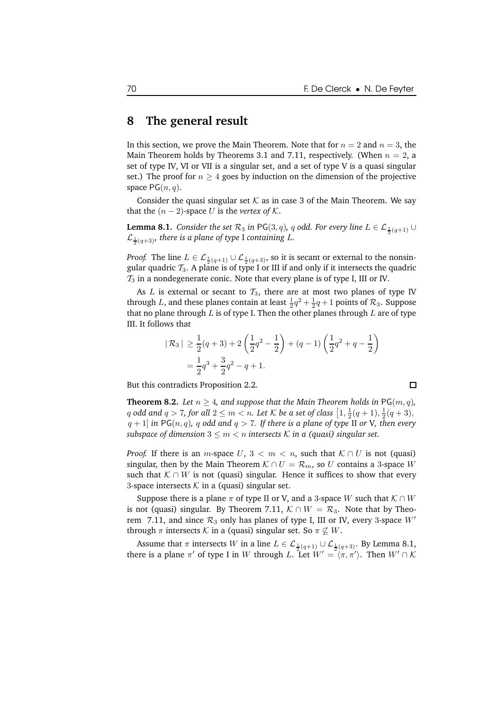#### **8 The general result**

In this section, we prove the Main Theorem. Note that for  $n = 2$  and  $n = 3$ , the Main Theorem holds by Theorems 3.1 and 7.11, respectively. (When  $n = 2$ , a set of type IV, VI or VII is a singular set, and a set of type V is a quasi singular set.) The proof for  $n \geq 4$  goes by induction on the dimension of the projective space  $PG(n, q)$ .

Consider the quasi singular set  $K$  as in case 3 of the Main Theorem. We say that the  $(n - 2)$ -space U is the *vertex* of K.

**Lemma 8.1.** *Consider the set*  $\mathcal{R}_3$  *in <code>PG(3, q), q odd. For every line L ∈ L*  $_{\frac{1}{2}(q+1)}$  ∪</code>  $\mathcal{L}_{\frac{1}{2}(q+3)}$ , there is a plane of type I containing L.

*Proof.* The line  $L \in \mathcal{L}_{\frac{1}{2}(q+1)} \cup \mathcal{L}_{\frac{1}{2}(q+3)}$ , so it is secant or external to the nonsingular quadric  $T_3$ . A plane is of type I or III if and only if it intersects the quadric  $\mathcal{T}_3$  in a nondegenerate conic. Note that every plane is of type I, III or IV.

As L is external or secant to  $\mathcal{T}_3$ , there are at most two planes of type IV through L, and these planes contain at least  $\frac{1}{2}q^2 + \frac{1}{2}q + 1$  points of  $\mathcal{R}_3$ . Suppose that no plane through  $L$  is of type I. Then the other planes through  $L$  are of type III. It follows that

$$
|\mathcal{R}_3| \ge \frac{1}{2}(q+3) + 2\left(\frac{1}{2}q^2 - \frac{1}{2}\right) + (q-1)\left(\frac{1}{2}q^2 + q - \frac{1}{2}\right)
$$
  
=  $\frac{1}{2}q^3 + \frac{3}{2}q^2 - q + 1$ .

But this contradicts Proposition 2.2.

**Theorem 8.2.** Let  $n \geq 4$ , and suppose that the Main Theorem holds in PG(m, q), q odd and  $q > 7$ , for all  $2 \le m < n$ . Let K be a set of class  $\left[1, \frac{1}{2}(q+1), \frac{1}{2}(q+3),\right.$  $q + 1$  *in* PG(n, q), q odd and  $q > 7$ . If there is a plane of type II or V, then every *subspace* of dimension  $3 \leq m < n$  intersects K in a (quasi) singular set.

*Proof.* If there is an *m*-space  $U, 3 < m < n$ , such that  $K \cap U$  is not (quasi) singular, then by the Main Theorem  $K \cap U = \mathcal{R}_m$ , so U contains a 3-space W such that  $K \cap W$  is not (quasi) singular. Hence it suffices to show that every 3-space intersects  $K$  in a (quasi) singular set.

Suppose there is a plane  $\pi$  of type II or V, and a 3-space W such that  $\mathcal{K} \cap W$ is not (quasi) singular. By Theorem 7.11,  $K \cap W = \mathcal{R}_3$ . Note that by Theorem 7.11, and since  $\mathcal{R}_3$  only has planes of type I, III or IV, every 3-space  $W'$ through  $\pi$  intersects  $\mathcal K$  in a (quasi) singular set. So  $\pi \not\subseteq W$ .

Assume that  $\pi$  intersects W in a line  $L \in \mathcal{L}_{\frac{1}{2}(q+1)} \cup \mathcal{L}_{\frac{1}{2}(q+3)}$ . By Lemma 8.1, there is a plane  $\pi'$  of type I in W through L. Let  $W' = \langle \pi, \pi' \rangle$ . Then  $W' \cap \mathcal{K}$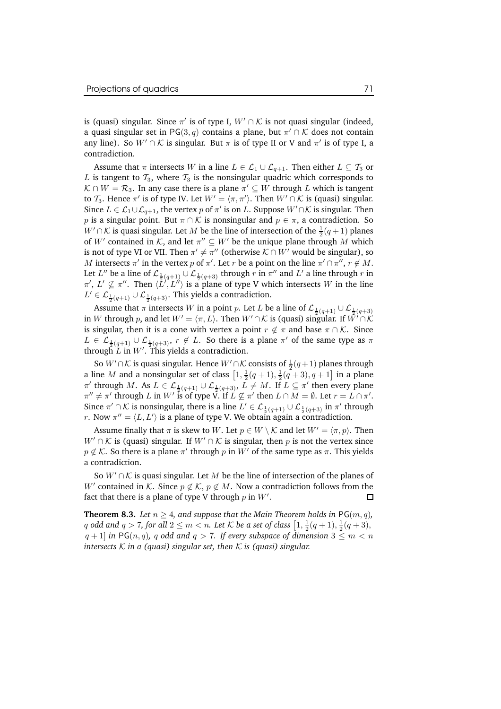is (quasi) singular. Since  $\pi'$  is of type I,  $W' \cap \mathcal{K}$  is not quasi singular (indeed, a quasi singular set in PG $(3,q)$  contains a plane, but  $\pi' \cap \mathcal{K}$  does not contain any line). So  $W' \cap \mathcal{K}$  is singular. But  $\pi$  is of type II or V and  $\pi'$  is of type I, a contradiction.

Assume that  $\pi$  intersects W in a line  $L \in \mathcal{L}_1 \cup \mathcal{L}_{q+1}$ . Then either  $L \subseteq \mathcal{T}_3$  or L is tangent to  $\mathcal{T}_3$ , where  $\mathcal{T}_3$  is the nonsingular quadric which corresponds to  $K \cap W = \mathcal{R}_3$ . In any case there is a plane  $\pi' \subseteq W$  through L which is tangent to  $\mathcal{T}_3$ . Hence  $\pi'$  is of type IV. Let  $W' = \langle \pi, \pi' \rangle$ . Then  $W' \cap \mathcal{K}$  is (quasi) singular. Since  $L \in \mathcal{L}_1 \cup \mathcal{L}_{q+1}$ , the vertex  $p$  of  $\pi'$  is on  $L$ . Suppose  $W' \cap \mathcal{K}$  is singular. Then p is a singular point. But  $\pi \cap \mathcal{K}$  is nonsingular and  $p \in \pi$ , a contradiction. So  $W' \cap \mathcal{K}$  is quasi singular. Let  $M$  be the line of intersection of the  $\frac{1}{2}(q+1)$  planes of  $W'$  contained in  $\mathcal{K}$ , and let  $\pi'' \subseteq W'$  be the unique plane through  $M$  which is not of type VI or VII. Then  $\pi' \neq \pi''$  (otherwise  $K \cap W'$  would be singular), so M intersects  $\pi'$  in the vertex  $p$  of  $\pi'$ . Let  $r$  be a point on the line  $\pi' \cap \pi''$ ,  $r \notin M$ . Let  $L''$  be a line of  $\mathcal{L}_{\frac{1}{2}(q+1)} \cup \mathcal{L}_{\frac{1}{2}(q+3)}$  through  $r$  in  $\pi''$  and  $L'$  a line through  $r$  in  $\pi', L' \nsubseteq \pi''$ . Then  $\langle L', L'' \rangle$  is a plane of type V which intersects W in the line  $L' \in \mathcal{L}_{\frac{1}{2}(q+1)} \cup \mathcal{L}_{\frac{1}{2}(q+3)}$ . This yields a contradiction.

Assume that  $\pi$  intersects W in a point p. Let L be a line of  $\mathcal{L}_{\frac{1}{2}(q+1)} \cup \mathcal{L}_{\frac{1}{2}(q+3)}$ in W through p, and let  $W' = \langle \pi, L \rangle$ . Then  $W' \cap \mathcal{K}$  is (quasi) singular. If  $\hat{W}' \cap \hat{\mathcal{K}}$ is singular, then it is a cone with vertex a point  $r \notin \pi$  and base  $\pi \cap \mathcal{K}$ . Since  $L \in \mathcal{L}_{\frac{1}{2}(q+1)} \cup \mathcal{L}_{\frac{1}{2}(q+3)}, r \notin L$ . So there is a plane  $\pi'$  of the same type as  $\pi$ through L in W'. This yields a contradiction.

So  $W' \cap \mathcal{K}$  is quasi singular. Hence  $W' \cap \mathcal{K}$  consists of  $\frac{1}{2}(q+1)$  planes through a line M and a nonsingular set of class  $\left[1, \frac{1}{2}(q+1), \frac{1}{2}(q+3), q+1\right]$  in a plane  $\pi'$  through M. As  $L \in \mathcal{L}_{\frac{1}{2}(q+1)} \cup \mathcal{L}_{\frac{1}{2}(q+3)}$ ,  $L \neq M$ . If  $L \subseteq \pi'$  then every plane  $\pi'' \neq \pi'$  through L in W' is of type V. If  $L \not\subseteq \pi'$  then  $L \cap M = \emptyset$ . Let  $r = L \cap \pi'$ . Since  $\pi' \cap \mathcal{K}$  is nonsingular, there is a line  $L' \in \mathcal{L}_{\frac{1}{2}(q+1)} \cup \mathcal{L}_{\frac{1}{2}(q+3)}$  in  $\pi'$  through *r*. Now  $\pi'' = \langle L, L' \rangle$  is a plane of type V. We obtain again a contradiction.

Assume finally that  $\pi$  is skew to W. Let  $p \in W \setminus \mathcal{K}$  and let  $W' = \langle \pi, p \rangle$ . Then  $W' \cap \mathcal{K}$  is (quasi) singular. If  $W' \cap \mathcal{K}$  is singular, then p is not the vertex since  $p \notin \mathcal{K}$ . So there is a plane  $\pi'$  through  $p$  in  $W'$  of the same type as  $\pi$ . This yields a contradiction.

So  $W' \cap \mathcal{K}$  is quasi singular. Let M be the line of intersection of the planes of W' contained in K. Since  $p \notin \mathcal{K}$ ,  $p \notin M$ . Now a contradiction follows from the fact that there is a plane of type V through  $p$  in  $W^{\prime}.$ 

**Theorem 8.3.** Let  $n > 4$ , and suppose that the Main Theorem holds in PG(m, q), q odd and  $q > 7$ , for all  $2 \le m < n$ . Let K be a set of class  $\left[1, \frac{1}{2}(q+1), \frac{1}{2}(q+3),\right.$  $q + 1$  *in* PG(n, q), q odd and  $q > 7$ . If every subspace of dimension  $3 \leq m < n$ *intersects* K *in a (quasi) singular set, then* K *is (quasi) singular.*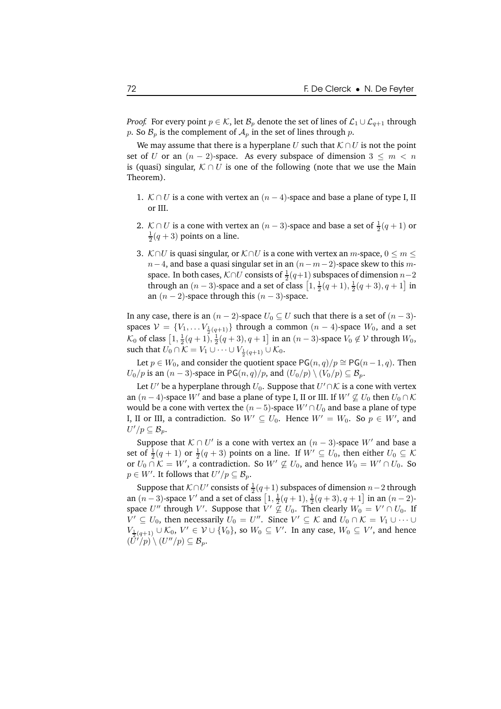*Proof.* For every point  $p \in \mathcal{K}$ , let  $\mathcal{B}_p$  denote the set of lines of  $\mathcal{L}_1 \cup \mathcal{L}_{q+1}$  through p. So  $\mathcal{B}_p$  is the complement of  $\mathcal{A}_p$  in the set of lines through p.

We may assume that there is a hyperplane U such that  $K \cap U$  is not the point set of U or an  $(n-2)$ -space. As every subspace of dimension  $3 \leq m < n$ is (quasi) singular,  $K \cap U$  is one of the following (note that we use the Main Theorem).

- 1. K ∩ U is a cone with vertex an  $(n-4)$ -space and base a plane of type I, II or III.
- 2. K ∩ U is a cone with vertex an  $(n-3)$ -space and base a set of  $\frac{1}{2}(q+1)$  or  $\frac{1}{2}(q+3)$  points on a line.
- 3. K∩U is quasi singular, or  $K \cap U$  is a cone with vertex an m-space,  $0 \le m \le$  $n-4$ , and base a quasi singular set in an  $(n-m-2)$ -space skew to this mspace. In both cases,  $K \cap U$  consists of  $\frac{1}{2}(q+1)$  subspaces of dimension  $n-2$ through an  $(n-3)$ -space and a set of class  $\left[1, \frac{1}{2}(q+1), \frac{1}{2}(q+3), q+1\right]$  in an  $(n-2)$ -space through this  $(n-3)$ -space.

In any case, there is an  $(n-2)$ -space  $U_0 \subseteq U$  such that there is a set of  $(n-3)$ spaces  $\mathcal{V} = \{V_1, \ldots V_{\frac{1}{2}(q+1)}\}$  through a common  $(n-4)$ -space  $W_0$ , and a set  $K_0$  of class  $\left[1, \frac{1}{2}(q + 1), \frac{1}{2}(q + 3), q + 1\right]$  in an  $(n − 3)$ -space  $V_0 \notin V$  through  $W_0$ , such that  $U_0 \cap \mathcal{K} = V_1 \cup \cdots \cup V_{\frac{1}{2}(q+1)} \cup \mathcal{K}_0$ .

Let  $p \in W_0$ , and consider the quotient space PG $(n, q)/p \cong PG(n-1, q)$ . Then  $U_0/p$  is an  $(n-3)$ -space in PG $(n, q)/p$ , and  $(U_0/p) \setminus (V_0/p) \subseteq \mathcal{B}_p$ .

Let  $U'$  be a hyperplane through  $U_0$ . Suppose that  $U' \cap \mathcal{K}$  is a cone with vertex an  $(n-4)$ -space W' and base a plane of type I, II or III. If  $W' \nsubseteq U_0$  then  $U_0 \cap \mathcal{K}$ would be a cone with vertex the  $(n-5)$ -space  $W' \cap U_0$  and base a plane of type I, II or III, a contradiction. So  $W' \subseteq U_0$ . Hence  $W' = W_0$ . So  $p \in W'$ , and  $U'/p\subseteq \mathcal{B}_p.$ 

Suppose that  $K \cap U'$  is a cone with vertex an  $(n-3)$ -space  $W'$  and base a set of  $\frac{1}{2}(q+1)$  or  $\frac{1}{2}(q+3)$  points on a line. If  $W' \subseteq U_0$ , then either  $U_0 \subseteq \mathcal{K}$ or  $U_0 \cap \mathcal{K} = W'$ , a contradiction. So  $W' \nsubseteq U_0$ , and hence  $W_0 = W' \cap U_0$ . So  $p \in W'.$  It follows that  $U'/p \subseteq \mathcal{B}_p$ .

Suppose that  $K \cap U'$  consists of  $\frac{1}{2}(q+1)$  subspaces of dimension  $n-2$  through an  $(n-3)$ -space V' and a set of class  $\left[1, \frac{1}{2}(q+1), \frac{1}{2}(q+3), q+1\right]$  in an  $(n-2)$ space  $U''$  through  $V'$ . Suppose that  $V' \nsubseteq U_0$ . Then clearly  $W_0 = V' \cap U_0$ . If  $V' \subseteq U_0$ , then necessarily  $U_0 = U''$ . Since  $V' \subseteq \mathcal{K}$  and  $U_0 \cap \mathcal{K} = V_1 \cup \cdots \cup$  $V_{\frac{1}{2}(q+1)}\cup\mathcal{K}_0,\,V'\in\mathcal{V}\cup\{V_0\},$  so  $W_0\subseteq V'.$  In any case,  $W_0\subseteq V',$  and hence  $(\overline{\overline{U}}^q/p) \setminus (U''/p) \subseteq \mathcal{B}_p.$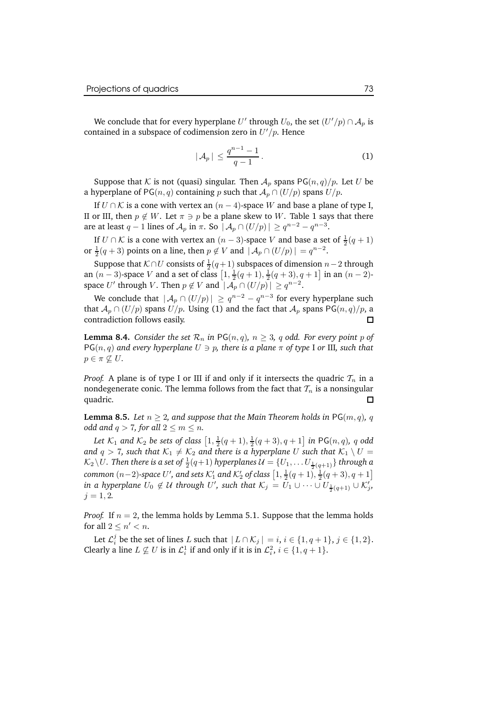We conclude that for every hyperplane  $U'$  through  $U_0$ , the set  $(U'/p) \cap A_p$  is contained in a subspace of codimension zero in  $U'/p$ . Hence

$$
|\mathcal{A}_p| \le \frac{q^{n-1}-1}{q-1}.
$$
 (1)

Suppose that K is not (quasi) singular. Then  $A_n$  spans PG $(n, q)/p$ . Let U be a hyperplane of PG( $n, q$ ) containing p such that  $A_p \cap (U/p)$  spans  $U/p$ .

If  $U \cap K$  is a cone with vertex an  $(n-4)$ -space W and base a plane of type I, II or III, then  $p \notin W$ . Let  $\pi \ni p$  be a plane skew to W. Table 1 says that there are at least  $q-1$  lines of  $\mathcal{A}_p$  in  $\pi$ . So  $|\mathcal{A}_p \cap (U/p)| \ge q^{n-2} - q^{n-3}$ .

If  $U \cap K$  is a cone with vertex an  $(n-3)$ -space V and base a set of  $\frac{1}{2}(q+1)$ or  $\frac{1}{2}(q+3)$  points on a line, then  $p \notin V$  and  $| \mathcal{A}_p \cap (U/p)| = q^{n-2}$ .

Suppose that  $K \cap U$  consists of  $\frac{1}{2}(q+1)$  subspaces of dimension  $n-2$  through an  $(n-3)$ -space V and a set of class  $\left[1, \frac{1}{2}(q+1), \frac{1}{2}(q+3), q+1\right]$  in an  $(n-2)$ space U' through V. Then  $p \notin V$  and  $| \mathcal{A}_p \cap (U/p)| \geq q^{n-2}$ .

We conclude that  $|\mathcal{A}_p \cap (U/p)| \ge q^{n-2} - q^{n-3}$  for every hyperplane such that  $A_p \cap (U/p)$  spans  $U/p$ . Using (1) and the fact that  $A_p$  spans PG $(n, q)/p$ , a contradiction follows easily contradiction follows easily.

**Lemma 8.4.** *Consider the set*  $\mathcal{R}_n$  *in* PG(n, q),  $n > 3$ , q odd. For every point p of  $PG(n, q)$  and *every* hyperplane  $U \ni p$ , there is a plane  $\pi$  of type I or III, such that  $p \in \pi \nsubseteq U$ .

*Proof.* A plane is of type I or III if and only if it intersects the quadric  $\mathcal{T}_n$  in a nondegenerate conic. The lemma follows from the fact that  $\mathcal{T}_n$  is a nonsingular quadric. quadric.

**Lemma 8.5.** *Let*  $n \geq 2$ , *and suppose that the Main Theorem holds in* PG(*m, q*), *q odd* and  $q > 7$ , for all  $2 \le m \le n$ .

Let  $\mathcal{K}_1$  and  $\mathcal{K}_2$  be sets of class  $\left[1, \frac{1}{2}(q + 1), \frac{1}{2}(q + 3), q + 1\right]$  in PG $(n, q)$ , q odd *and*  $q > 7$ , *such that*  $K_1 \neq K_2$  *and there is a hyperplane* U *such that*  $K_1 \setminus U =$  $\mathcal{K}_2 \backslash U$ . Then there is a set of  $\frac{1}{2}(q+1)$  hyperplanes  $\mathcal{U} = \{U_1, \dots U_{\frac{1}{2}(q+1)}\}$  through a *common*  $(n-2)$ -space U', and sets K'<sub>1</sub> and K'<sub>2</sub> of class  $\left[1, \frac{1}{2}(q+1), \frac{1}{2}(q+3), q+1\right]$ in a hyperplane  $U_0 \notin \mathcal{U}$  through  $U'$ , such that  $\mathcal{K}_j = U_1 \cup \cdots \cup U_{\frac{1}{2}(q+1)} \cup \mathcal{K}'_j$ ,  $j = 1, 2.$ 

*Proof.* If  $n = 2$ , the lemma holds by Lemma 5.1. Suppose that the lemma holds for all  $2 \leq n' < n$ .

Let  $\mathcal{L}_i^j$  be the set of lines L such that  $|L \cap \mathcal{K}_j| = i, i \in \{1, q + 1\}, j \in \{1, 2\}.$ Clearly a line  $L \not\subseteq U$  is in  $\mathcal{L}_i^1$  if and only if it is in  $\mathcal{L}_i^2$ ,  $i \in \{1, q+1\}$ .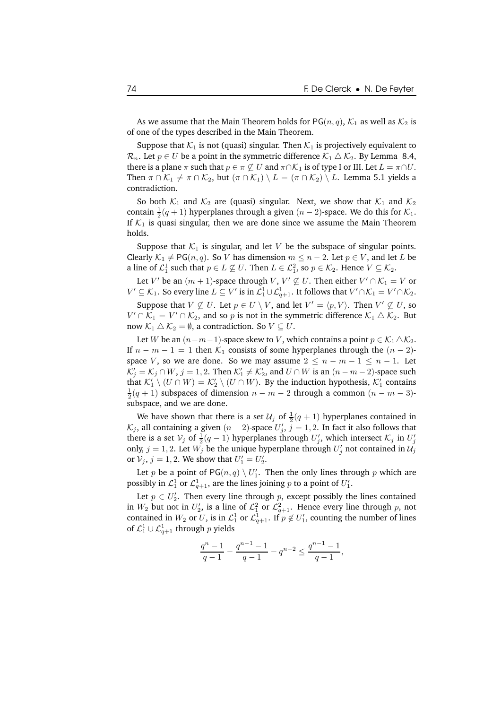As we assume that the Main Theorem holds for PG( $n, q$ ),  $\mathcal{K}_1$  as well as  $\mathcal{K}_2$  is of one of the types described in the Main Theorem.

Suppose that  $K_1$  is not (quasi) singular. Then  $K_1$  is projectively equivalent to  $\mathcal{R}_n$ . Let  $p \in U$  be a point in the symmetric difference  $\mathcal{K}_1 \triangle \mathcal{K}_2$ . By Lemma 8.4, there is a plane  $\pi$  such that  $p \in \pi \nsubseteq U$  and  $\pi \cap \mathcal{K}_1$  is of type I or III. Let  $L = \pi \cap U$ . Then  $\pi \cap \mathcal{K}_1 \neq \pi \cap \mathcal{K}_2$ , but  $(\pi \cap \mathcal{K}_1) \setminus L = (\pi \cap \mathcal{K}_2) \setminus L$ . Lemma 5.1 yields a contradiction.

So both  $K_1$  and  $K_2$  are (quasi) singular. Next, we show that  $K_1$  and  $K_2$ contain  $\frac{1}{2}(q+1)$  hyperplanes through a given  $(n-2)$ -space. We do this for  $\mathcal{K}_1$ . If  $K_1$  is quasi singular, then we are done since we assume the Main Theorem holds.

Suppose that  $K_1$  is singular, and let V be the subspace of singular points. Clearly  $K_1 \neq PG(n, q)$ . So V has dimension  $m \leq n - 2$ . Let  $p \in V$ , and let L be a line of  $\mathcal{L}_1^1$  such that  $p \in L \not\subseteq U$ . Then  $L \in \mathcal{L}_1^2$ , so  $p \in \mathcal{K}_2$ . Hence  $V \subseteq \mathcal{K}_2$ .

Let  $V'$  be an  $(m + 1)$ -space through  $V, V' \nsubseteq U$ . Then either  $V' \cap \mathcal{K}_1 = V$  or  $V' \subseteq \mathcal{K}_1$ . So every line  $L \subseteq V'$  is in  $\mathcal{L}_1^1 \cup \mathcal{L}_{q+1}^1$ . It follows that  $V' \cap \mathcal{K}_1 = V' \cap \mathcal{K}_2$ .

Suppose that  $V \not\subseteq U$ . Let  $p \in U \setminus V$ , and let  $V' = \langle p, V \rangle$ . Then  $V' \not\subseteq U$ , so  $V' \cap \mathcal{K}_1 = V' \cap \mathcal{K}_2$ , and so p is not in the symmetric difference  $\mathcal{K}_1 \triangle \mathcal{K}_2$ . But now  $K_1 \triangle K_2 = \emptyset$ , a contradiction. So  $V \subseteq U$ .

Let W be an  $(n-m-1)$ -space skew to V, which contains a point  $p \in \mathcal{K}_1 \triangle \mathcal{K}_2$ . If  $n - m - 1 = 1$  then  $\mathcal{K}_1$  consists of some hyperplanes through the  $(n - 2)$ space V, so we are done. So we may assume  $2 \leq n - m - 1 \leq n - 1$ . Let  $\mathcal{K}'_j = \mathcal{K}_j \cap W$ ,  $j = 1, 2$ . Then  $\mathcal{K}'_1 \neq \mathcal{K}'_2$ , and  $U \cap W$  is an  $(n - m - 2)$ -space such that  $\mathcal{K}'_1 \setminus (U \cap W) = \mathcal{K}'_2 \setminus (U \cap W)$ . By the induction hypothesis,  $\mathcal{K}'_1$  contains  $\frac{1}{2}(q+1)$  subspaces of dimension  $n-m-2$  through a common  $(n-m-3)$ subspace, and we are done.

We have shown that there is a set  $\mathcal{U}_j$  of  $\frac{1}{2}(q+1)$  hyperplanes contained in  $\mathcal{K}_j$ , all containing a given  $(n-2)$ -space  $U'_j$ ,  $j = 1, 2$ . In fact it also follows that there is a set  $\mathcal{V}_j$  of  $\frac{1}{2}(q-1)$  hyperplanes through  $U'_j$ , which intersect  $\mathcal{K}_j$  in  $U'_j$ only,  $j = 1, 2$ . Let  $W_j$  be the unique hyperplane through  $U'_j$  not contained in  $\mathcal{U}_j$ or  $V_j$ ,  $j = 1, 2$ . We show that  $U'_1 = U'_2$ .

Let  $p$  be a point of PG $(n, q) \setminus U'_1$ . Then the only lines through  $p$  which are possibly in  $\mathcal{L}_1^1$  or  $\mathcal{L}_{q+1}^1$ , are the lines joining  $p$  to a point of  $U'_1$ .

Let  $p \in U'_2$ . Then every line through p, except possibly the lines contained in  $W_2$  but not in  $U_2'$ , is a line of  $\mathcal{L}_1^2$  or  $\mathcal{L}_{q+1}^2$ . Hence every line through p, not contained in  $W_2$  or U, is in  $\mathcal{L}_1^1$  or  $\mathcal{L}_{q+1}^1$ . If  $p \notin U'_1$ , counting the number of lines of  $\mathcal{L}^1_1\cup\mathcal{L}^1_{q+1}$  through  $p$  yields

$$
\frac{q^n-1}{q-1}-\frac{q^{n-1}-1}{q-1}-q^{n-2}\leq \frac{q^{n-1}-1}{q-1},
$$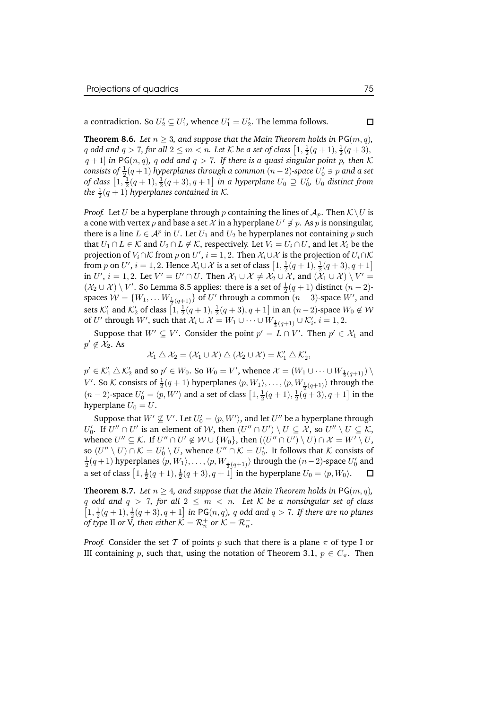a contradiction. So  $U_2' \subseteq U_1'$ , whence  $U_1' = U_2'$ . The lemma follows.

**Theorem 8.6.** *Let*  $n \geq 3$ *, and suppose that the Main Theorem holds in*  $PG(m, q)$ *,* q odd and  $q > 7$ , for all  $2 \le m < n$ . Let K be a set of class  $\left[1, \frac{1}{2}(q+1), \frac{1}{2}(q+3),\right.$  $(q + 1)$  *in* PG(n, q), q odd and  $q > 7$ . If there is a quasi singular point p, then K  $\alpha$  *consists of*  $\frac{1}{2}(q+1)$  *hyperplanes through a common*  $(n-2)$ *-space*  $U_0' \ni p$  *and a set* of class  $\left[1,\frac{1}{2}(q+1),\frac{1}{2}(q+3),q+1\right]$  in a hyperplane  $U_0\supseteq U'_0$ ,  $U_0$  distinct from *the*  $\frac{1}{2}(q+1)$  *hyperplanes contained in K.* 

*Proof.* Let U be a hyperplane through p containing the lines of  $A_p$ . Then  $K\setminus U$  is a cone with vertex  $p$  and base a set  $\mathcal X$  in a hyperplane  $U'\not\ni p$ . As  $p$  is nonsingular, there is a line  $L \in \mathcal{A}^p$  in  $U$ . Let  $U_1$  and  $U_2$  be hyperplanes not containing  $p$  such that  $U_1 \cap L \in \mathcal{K}$  and  $U_2 \cap L \notin \mathcal{K}$ , respectively. Let  $V_i = U_i \cap U$ , and let  $\mathcal{X}_i$  be the projection of  $V_i \cap \mathcal{K}$  from  $p$  on  $U',$   $i=1,2.$  Then  $\mathcal{X}_i \cup \mathcal{X}$  is the projection of  $U_i \cap \mathcal{K}$ from p on U',  $i = 1, 2$ . Hence  $\mathcal{X}_i \cup \mathcal{X}$  is a set of class  $\left[1, \frac{1}{2}(q+1), \frac{1}{2}(q+3), q+1\right]$ in  $U', i = 1, 2$ . Let  $V' = U' \cap U$ . Then  $\mathcal{X}_1 \cup \mathcal{X} \neq \mathcal{X}_2 \cup \mathcal{X}$ , and  $(\mathcal{X}_1 \cup \mathcal{X}) \setminus V' =$  $(\mathcal{X}_2 \cup \mathcal{X}) \setminus V'$ . So Lemma 8.5 applies: there is a set of  $\frac{1}{2}(q+1)$  distinct  $(n-2)$ spaces  $\mathcal{W} = \{W_1, \ldots W_{\frac{1}{2}(q+1)}\}$  of  $U'$  through a common  $(n-3)$ -space  $W'$ , and sets  $\mathcal{K}_1'$  and  $\mathcal{K}_2'$  of class  $\left[1, \frac{1}{2}(q+1), \frac{1}{2}(q+3), q+1\right]$  in an  $(n-2)$ -space  $W_0 \not\in \mathcal{W}$ of  $U'$  through  $W'$ , such that  $\mathcal{X}_i \cup \mathcal{X} = W_1 \cup \cdots \cup W_{\frac{1}{2}(q+1)} \cup \mathcal{K}'_i$ ,  $i = 1, 2$ .

Suppose that  $W' \subseteq V'$ . Consider the point  $p' = L \cap V'$ . Then  $p' \in \mathcal{X}_1$  and  $p' \notin \mathcal{X}_2$ . As

$$
\mathcal{X}_1 \bigtriangleup \mathcal{X}_2 = (\mathcal{X}_1 \cup \mathcal{X}) \bigtriangleup (\mathcal{X}_2 \cup \mathcal{X}) = \mathcal{K}_1' \bigtriangleup \mathcal{K}_2',
$$

 $p' \in \mathcal{K}'_1 \bigtriangleup \mathcal{K}'_2$  and so  $p' \in W_0$ . So  $W_0 = V'$ , whence  $\mathcal{X} = (W_1 \cup \cdots \cup W_{\frac{1}{2}(q+1)}) \setminus \mathcal{X}'$  $V'.$  So  $\mathcal K$  consists of  $\frac{1}{2}(q+1)$  hyperplanes  $\langle p,W_1\rangle,\ldots,\langle p,W_{\frac{1}{2}(q+1)}\rangle$  through the  $(n-2)$ -space  $U'_0 = \langle p, W' \rangle$  and a set of class  $\left[1, \frac{1}{2}(q+1), \frac{1}{2}(q+3), q+1\right]$  in the hyperplane  $U_0 = U$ .

Suppose that  $W' \not\subseteq V'$ . Let  $U'_0 = \langle p, W' \rangle$ , and let  $U''$  be a hyperplane through  $U_0'$ . If  $U'' \cap U'$  is an element of W, then  $(U'' \cap U') \setminus U \subseteq \mathcal{X}$ , so  $U'' \setminus U \subseteq \mathcal{K}$ , whence  $U'' \subseteq \mathcal{K}$ . If  $U'' \cap U' \notin \mathcal{W} \cup \{W_0\}$ , then  $((U'' \cap U') \setminus U) \cap \mathcal{X} = W' \setminus U$ , so  $(U'' \setminus U) \cap \mathcal{K} = U'_0 \setminus U$ , whence  $U'' \cap \mathcal{K} = U'_0$ . It follows that  $\mathcal K$  consists of  $\frac{1}{2}(q+1)$  hyperplanes  $\langle p, W_1\rangle, \ldots, \langle p, W_{\frac{1}{2}(q+1)}\rangle$  through the  $(n-2)$ -space  $U_0'$  and a set of class  $[1, \frac{1}{2}(q + 1), \frac{1}{2}(q + 3), q + 1]$  in the hyperplane  $U_0 = \langle p, W_0 \rangle$ .  $\Box$ 

**Theorem 8.7.** *Let*  $n \geq 4$ *, and suppose that the Main Theorem holds in*  $PG(m, q)$ *,* q odd and  $q > 7$ , for all  $2 \leq m < n$ . Let K be a nonsingular set of class  $\left[1, \frac{1}{2}(q+1), \frac{1}{2}(q+3), q+1\right]$  *in* PG $(n, q)$ *, q odd and*  $q > 7$ *. If there are no planes of type* II *or* V, then either  $K = \mathcal{R}_n^+$  *or*  $\mathcal{K} = \mathcal{R}_n^-$ .

*Proof.* Consider the set T of points p such that there is a plane  $\pi$  of type I or III containing p, such that, using the notation of Theorem 3.1,  $p \in C_{\pi}$ . Then

 $\Box$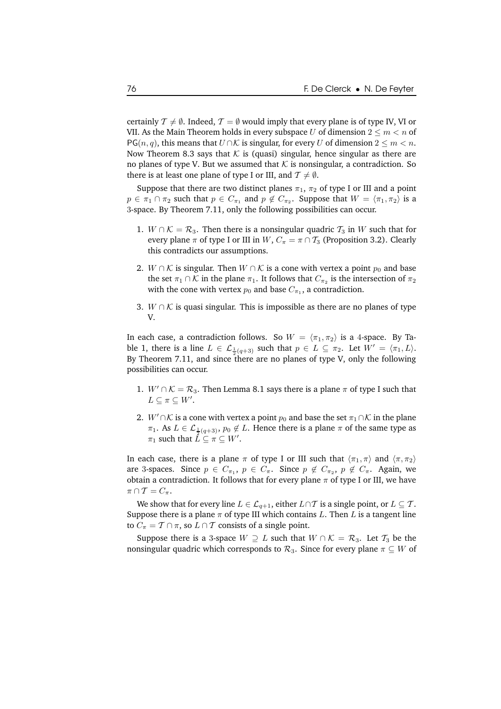certainly  $\mathcal{T} \neq \emptyset$ . Indeed,  $\mathcal{T} = \emptyset$  would imply that every plane is of type IV, VI or VII. As the Main Theorem holds in every subspace U of dimension  $2 \le m < n$  of PG(*n*, *q*), this means that  $U \cap K$  is singular, for every U of dimension  $2 \le m < n$ . Now Theorem 8.3 says that  $K$  is (quasi) singular, hence singular as there are no planes of type V. But we assumed that  $K$  is nonsingular, a contradiction. So there is at least one plane of type I or III, and  $T \neq \emptyset$ .

Suppose that there are two distinct planes  $\pi_1$ ,  $\pi_2$  of type I or III and a point  $p \in \pi_1 \cap \pi_2$  such that  $p \in C_{\pi_1}$  and  $p \notin C_{\pi_2}$ . Suppose that  $W = \langle \pi_1, \pi_2 \rangle$  is a 3-space. By Theorem 7.11, only the following possibilities can occur.

- 1.  $W \cap K = \mathcal{R}_3$ . Then there is a nonsingular quadric  $\mathcal{T}_3$  in W such that for every plane  $\pi$  of type I or III in  $W$ ,  $C_{\pi} = \pi \cap T_3$  (Proposition 3.2). Clearly this contradicts our assumptions.
- 2.  $W \cap K$  is singular. Then  $W \cap K$  is a cone with vertex a point  $p_0$  and base the set  $\pi_1 \cap \mathcal{K}$  in the plane  $\pi_1$ . It follows that  $C_{\pi_2}$  is the intersection of  $\pi_2$ with the cone with vertex  $p_0$  and base  $C_{\pi_1}$ , a contradiction.
- 3. *W* ∩  $K$  is quasi singular. This is impossible as there are no planes of type V.

In each case, a contradiction follows. So  $W = \langle \pi_1, \pi_2 \rangle$  is a 4-space. By Table 1, there is a line  $L \in \mathcal{L}_{\frac{1}{2}(q+3)}$  such that  $p \in L \subseteq \pi_2$ . Let  $W' = \langle \pi_1, L \rangle$ . By Theorem 7.11, and since there are no planes of type V, only the following possibilities can occur.

- 1.  $W' \cap \mathcal{K} = \mathcal{R}_3$ . Then Lemma 8.1 says there is a plane  $\pi$  of type I such that  $L\subseteq \pi\subseteq W'.$
- 2.  $W' \cap \mathcal{K}$  is a cone with vertex a point  $p_0$  and base the set  $\pi_1 \cap \mathcal{K}$  in the plane  $\pi_1$ . As  $L \in \mathcal{L}_{\frac{1}{2}(q+3)}, p_0 \notin L$ . Hence there is a plane  $\pi$  of the same type as  $\pi_1$  such that  $\overline{L} \subseteq \pi \subseteq W'$ .

In each case, there is a plane  $\pi$  of type I or III such that  $\langle \pi_1, \pi \rangle$  and  $\langle \pi, \pi_2 \rangle$ are 3-spaces. Since  $p \in C_{\pi_1}$ ,  $p \in C_{\pi}$ . Since  $p \notin C_{\pi_2}$ ,  $p \notin C_{\pi}$ . Again, we obtain a contradiction. It follows that for every plane  $\pi$  of type I or III, we have  $\pi \cap T = C_{\pi}$ .

We show that for every line  $L \in \mathcal{L}_{q+1}$ , either  $L \cap \mathcal{T}$  is a single point, or  $L \subseteq \mathcal{T}$ . Suppose there is a plane  $\pi$  of type III which contains L. Then L is a tangent line to  $C_{\pi} = T \cap \pi$ , so  $L \cap T$  consists of a single point.

Suppose there is a 3-space  $W \supseteq L$  such that  $W \cap K = \mathcal{R}_3$ . Let  $\mathcal{T}_3$  be the nonsingular quadric which corresponds to  $\mathcal{R}_3$ . Since for every plane  $\pi \subseteq W$  of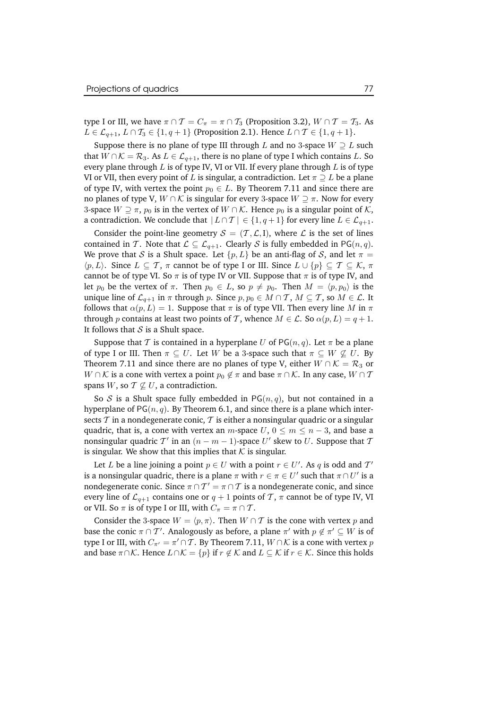type I or III, we have  $\pi \cap T = C_{\pi} = \pi \cap T_3$  (Proposition 3.2),  $W \cap T = T_3$ . As  $L \in \mathcal{L}_{q+1}, L \cap \mathcal{T}_3 \in \{1, q+1\}$  (Proposition 2.1). Hence  $L \cap \mathcal{T} \in \{1, q+1\}.$ 

Suppose there is no plane of type III through L and no 3-space  $W \supseteq L$  such that  $W \cap K = \mathcal{R}_3$ . As  $L \in \mathcal{L}_{q+1}$ , there is no plane of type I which contains L. So every plane through  $L$  is of type IV, VI or VII. If every plane through  $L$  is of type VI or VII, then every point of L is singular, a contradiction. Let  $\pi \supseteq L$  be a plane of type IV, with vertex the point  $p_0 \in L$ . By Theorem 7.11 and since there are no planes of type V,  $W \cap K$  is singular for every 3-space  $W \supseteq \pi$ . Now for every 3-space  $W \supset \pi$ ,  $p_0$  is in the vertex of  $W \cap K$ . Hence  $p_0$  is a singular point of K, a contradiction. We conclude that  $|L \cap T| \in \{1, q+1\}$  for every line  $L \in \mathcal{L}_{q+1}$ .

Consider the point-line geometry  $S = (T, \mathcal{L}, I)$ , where  $\mathcal{L}$  is the set of lines contained in T. Note that  $\mathcal{L} \subseteq \mathcal{L}_{q+1}$ . Clearly S is fully embedded in PG(n,q). We prove that S is a Shult space. Let  $\{p, L\}$  be an anti-flag of S, and let  $\pi =$  $\langle p,L\rangle$ . Since  $L \subseteq \mathcal{T}$ ,  $\pi$  cannot be of type I or III. Since  $L \cup \{p\} \subseteq \mathcal{T} \subseteq \mathcal{K}$ ,  $\pi$ cannot be of type VI. So  $\pi$  is of type IV or VII. Suppose that  $\pi$  is of type IV, and let  $p_0$  be the vertex of  $\pi$ . Then  $p_0 \in L$ , so  $p \neq p_0$ . Then  $M = \langle p, p_0 \rangle$  is the unique line of  $\mathcal{L}_{q+1}$  in  $\pi$  through p. Since  $p, p_0 \in M \cap \mathcal{T}$ ,  $M \subseteq \mathcal{T}$ , so  $M \in \mathcal{L}$ . It follows that  $\alpha(p, L) = 1$ . Suppose that  $\pi$  is of type VII. Then every line M in  $\pi$ through p contains at least two points of T, whence  $M \in \mathcal{L}$ . So  $\alpha(p, L) = q + 1$ . It follows that  $S$  is a Shult space.

Suppose that T is contained in a hyperplane U of  $PG(n, q)$ . Let  $\pi$  be a plane of type I or III. Then  $\pi \subseteq U$ . Let W be a 3-space such that  $\pi \subseteq W \nsubseteq U$ . By Theorem 7.11 and since there are no planes of type V, either  $W \cap \mathcal{K} = \mathcal{R}_3$  or  $W \cap \mathcal{K}$  is a cone with vertex a point  $p_0 \notin \pi$  and base  $\pi \cap \mathcal{K}$ . In any case,  $W \cap \mathcal{T}$ spans  $W$ , so  $T \nsubseteq U$ , a contradiction.

So S is a Shult space fully embedded in  $PG(n, q)$ , but not contained in a hyperplane of  $PG(n, q)$ . By Theorem 6.1, and since there is a plane which intersects  $\mathcal T$  in a nondegenerate conic,  $\mathcal T$  is either a nonsingular quadric or a singular quadric, that is, a cone with vertex an *m*-space  $U, 0 \le m \le n-3$ , and base a nonsingular quadric  $\mathcal{T}'$  in an  $(n-m-1)$ -space  $U'$  skew to  $U$ . Suppose that  $\mathcal T$ is singular. We show that this implies that  $K$  is singular.

Let L be a line joining a point  $p \in U$  with a point  $r \in U'$ . As q is odd and  $\mathcal{T}'$ is a nonsingular quadric, there is a plane  $\pi$  with  $r \in \pi \in U'$  such that  $\pi \cap U'$  is a nondegenerate conic. Since  $\pi \cap \mathcal{T}' = \pi \cap \mathcal{T}$  is a nondegenerate conic, and since every line of  $\mathcal{L}_{q+1}$  contains one or  $q+1$  points of T,  $\pi$  cannot be of type IV, VI or VII. So  $\pi$  is of type I or III, with  $C_{\pi} = \pi \cap \mathcal{T}$ .

Consider the 3-space  $W = \langle p, \pi \rangle$ . Then  $W \cap T$  is the cone with vertex p and base the conic  $\pi \cap \mathcal{T}'$ . Analogously as before, a plane  $\pi'$  with  $p \notin \pi' \subseteq W$  is of type I or III, with  $C_{\pi'} = \pi' \cap \mathcal{T}$ . By Theorem 7.11,  $W \cap \mathcal{K}$  is a cone with vertex  $p$ and base  $\pi \cap \mathcal{K}$ . Hence  $L \cap \mathcal{K} = \{p\}$  if  $r \notin \mathcal{K}$  and  $L \subseteq \mathcal{K}$  if  $r \in \mathcal{K}$ . Since this holds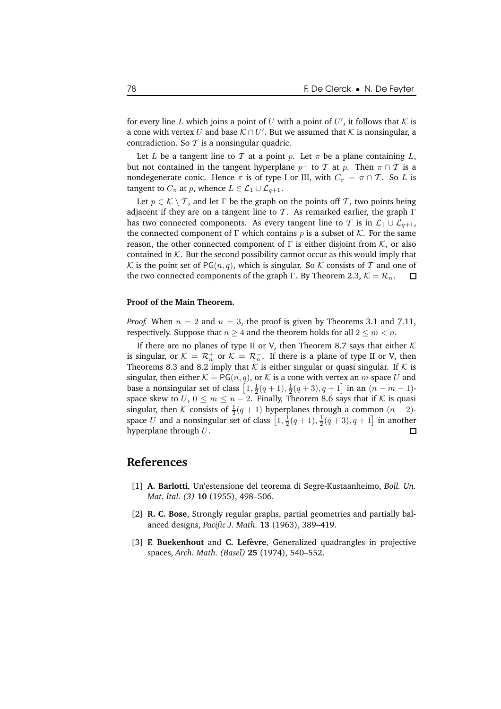for every line L which joins a point of U with a point of U', it follows that K is a cone with vertex  $U$  and base  $\mathcal{K} \cap U'$ . But we assumed that  $\mathcal K$  is nonsingular, a contradiction. So  $T$  is a nonsingular quadric.

Let L be a tangent line to T at a point p. Let  $\pi$  be a plane containing L, but not contained in the tangent hyperplane  $p^{\perp}$  to  $\mathcal T$  at  $p$ . Then  $\pi \cap \mathcal T$  is a nondegenerate conic. Hence  $\pi$  is of type I or III, with  $C_{\pi} = \pi \cap \mathcal{T}$ . So L is tangent to  $C_{\pi}$  at p, whence  $L \in \mathcal{L}_1 \cup \mathcal{L}_{q+1}$ .

Let  $p \in \mathcal{K} \setminus \mathcal{T}$ , and let  $\Gamma$  be the graph on the points off  $\mathcal{T}$ , two points being adjacent if they are on a tangent line to T. As remarked earlier, the graph  $\Gamma$ has two connected components. As every tangent line to T is in  $\mathcal{L}_1 \cup \mathcal{L}_{q+1}$ , the connected component of Γ which contains p is a subset of K. For the same reason, the other connected component of  $\Gamma$  is either disjoint from  $K$ , or also contained in  $K$ . But the second possibility cannot occur as this would imply that K is the point set of PG(*n*, *q*), which is singular. So K consists of T and one of the two connected components of the graph  $\Gamma$ . By Theorem 2.3,  $K = \mathcal{R}_n$ .  $\Box$ the two connected components of the graph Γ. By Theorem 2.3,  $K = \mathcal{R}_n$ .

#### **Proof of the Main Theorem.**

*Proof.* When  $n = 2$  and  $n = 3$ , the proof is given by Theorems 3.1 and 7.11, respectively. Suppose that  $n \geq 4$  and the theorem holds for all  $2 \leq m < n$ .

If there are no planes of type II or V, then Theorem 8.7 says that either  $K$ is singular, or  $K = \mathcal{R}_n^+$  or  $\mathcal{K} = \mathcal{R}_n^-$ . If there is a plane of type II or V, then Theorems 8.3 and 8.2 imply that  $K$  is either singular or quasi singular. If  $K$  is singular, then either  $K = PG(n, q)$ , or K is a cone with vertex an m-space U and base a nonsingular set of class  $[1, \frac{1}{2}(q + 1), \frac{1}{2}(q + 3), q + 1]$  in an  $(n - m - 1)$ space skew to  $U, 0 \le m \le n-2$ . Finally, Theorem 8.6 says that if K is quasi singular, then K consists of  $\frac{1}{2}(q + 1)$  hyperplanes through a common  $(n - 2)$ space U and a nonsingular set of class  $\left[1, \frac{1}{2}(q+1), \frac{1}{2}(q+3), q+1\right]$  in another hyperplane through  $U$ .  $\Box$ 

### **References**

- [1] **A. Barlotti**, Un'estensione del teorema di Segre-Kustaanheimo, *Boll. Un. Mat. Ital. (3)* **10** (1955), 498–506.
- [2] **R. C. Bose**, Strongly regular graphs, partial geometries and partially balanced designs, *Pacific J. Math.* **13** (1963), 389–419.
- [3] **F. Buekenhout** and **C. Lefevre `** , Generalized quadrangles in projective spaces, *Arch. Math. (Basel)* **25** (1974), 540–552.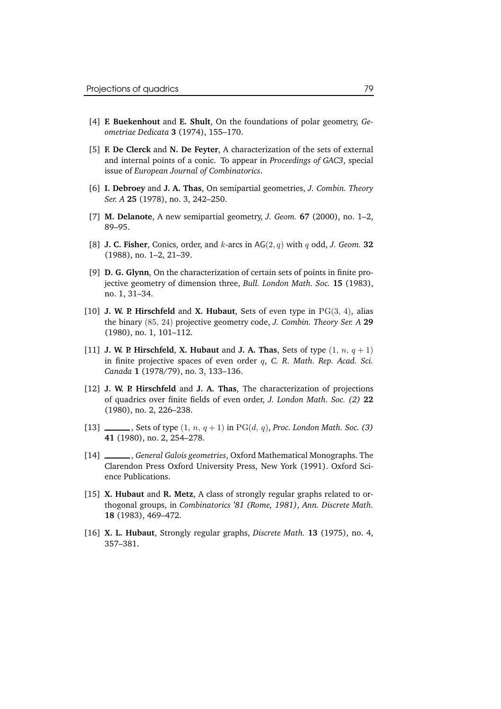- [4] **F. Buekenhout** and **E. Shult**, On the foundations of polar geometry, *Geometriae Dedicata* **3** (1974), 155–170.
- [5] **F. De Clerck** and **N. De Feyter**, A characterization of the sets of external and internal points of a conic. To appear in *Proceedings of GAC3*, special issue of *European Journal of Combinatorics*.
- [6] **I. Debroey** and **J. A. Thas**, On semipartial geometries, *J. Combin. Theory Ser. A* **25** (1978), no. 3, 242–250.
- [7] **M. Delanote**, A new semipartial geometry, *J. Geom.* **67** (2000), no. 1–2, 89–95.
- [8] **J. C. Fisher**, Conics, order, and k-arcs in AG(2, q) with q odd, *J. Geom.* **32** (1988), no. 1–2, 21–39.
- [9] **D. G. Glynn**, On the characterization of certain sets of points in finite projective geometry of dimension three, *Bull. London Math. Soc.* **15** (1983), no. 1, 31–34.
- [10] **J. W. P.** Hirschfeld and **X.** Hubaut, Sets of even type in  $PG(3, 4)$ , alias the binary (85, 24) projective geometry code, *J. Combin. Theory Ser. A* **29** (1980), no. 1, 101–112.
- [11] **J. W. P.** Hirschfeld, **X.** Hubaut and **J.** A. Thas, Sets of type  $(1, n, q + 1)$ in finite projective spaces of even order q, *C. R. Math. Rep. Acad. Sci. Canada* **1** (1978/79), no. 3, 133–136.
- [12] **J. W. P. Hirschfeld** and **J. A. Thas**, The characterization of projections of quadrics over finite fields of even order, *J. London Math. Soc. (2)* **22** (1980), no. 2, 226–238.
- [13]  $\_\_\_\_\_$ , Sets of type  $(1, n, q+1)$  in PG $(d, q)$ , *Proc. London Math. Soc.* (3) **41** (1980), no. 2, 254–278.
- [14] , *General Galois geometries*, Oxford Mathematical Monographs. The Clarendon Press Oxford University Press, New York (1991). Oxford Science Publications.
- [15] **X. Hubaut** and **R. Metz**, A class of strongly regular graphs related to orthogonal groups, in *Combinatorics '81 (Rome, 1981)*, *Ann. Discrete Math.* **18** (1983), 469–472.
- [16] **X. L. Hubaut**, Strongly regular graphs, *Discrete Math.* **13** (1975), no. 4, 357–381.